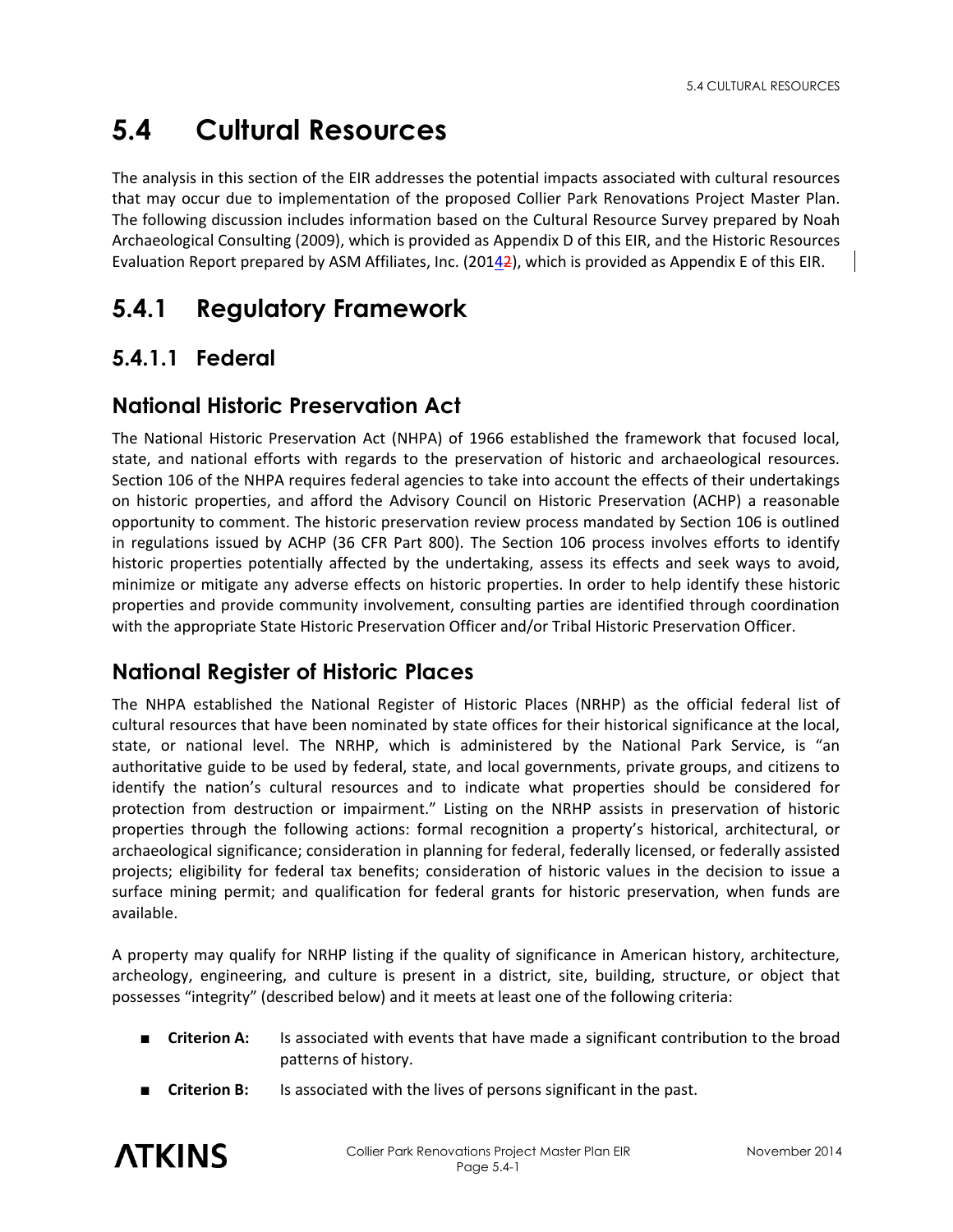# **5.4 Cultural Resources**

The analysis in this section of the EIR addresses the potential impacts associated with cultural resources that may occur due to implementation of the proposed Collier Park Renovations Project Master Plan. The following discussion includes information based on the Cultural Resource Survey prepared by Noah Archaeological Consulting (2009), which is provided as Appendix D of this EIR, and the Historic Resources Evaluation Report prepared by ASM Affiliates, Inc. (20142), which is provided as Appendix E of this EIR.

# **5.4.1 Regulatory Framework**

# **5.4.1.1 Federal**

### **National Historic Preservation Act**

The National Historic Preservation Act (NHPA) of 1966 established the framework that focused local, state, and national efforts with regards to the preservation of historic and archaeological resources. Section 106 of the NHPA requires federal agencies to take into account the effects of their undertakings on historic properties, and afford the Advisory Council on Historic Preservation (ACHP) a reasonable opportunity to comment. The historic preservation review process mandated by Section 106 is outlined in regulations issued by ACHP (36 CFR Part 800). The Section 106 process involves efforts to identify historic properties potentially affected by the undertaking, assess its effects and seek ways to avoid, minimize or mitigate any adverse effects on historic properties. In order to help identify these historic properties and provide community involvement, consulting parties are identified through coordination with the appropriate State Historic Preservation Officer and/or Tribal Historic Preservation Officer.

# **National Register of Historic Places**

The NHPA established the National Register of Historic Places (NRHP) as the official federal list of cultural resources that have been nominated by state offices for their historical significance at the local, state, or national level. The NRHP, which is administered by the National Park Service, is "an authoritative guide to be used by federal, state, and local governments, private groups, and citizens to identify the nation's cultural resources and to indicate what properties should be considered for protection from destruction or impairment." Listing on the NRHP assists in preservation of historic properties through the following actions: formal recognition a property's historical, architectural, or archaeological significance; consideration in planning for federal, federally licensed, or federally assisted projects; eligibility for federal tax benefits; consideration of historic values in the decision to issue a surface mining permit; and qualification for federal grants for historic preservation, when funds are available.

A property may qualify for NRHP listing if the quality of significance in American history, architecture, archeology, engineering, and culture is present in a district, site, building, structure, or object that possesses "integrity" (described below) and it meets at least one of the following criteria:

- **Criterion A:** Is associated with events that have made a significant contribution to the broad patterns of history.
- **Criterion B:** Is associated with the lives of persons significant in the past.

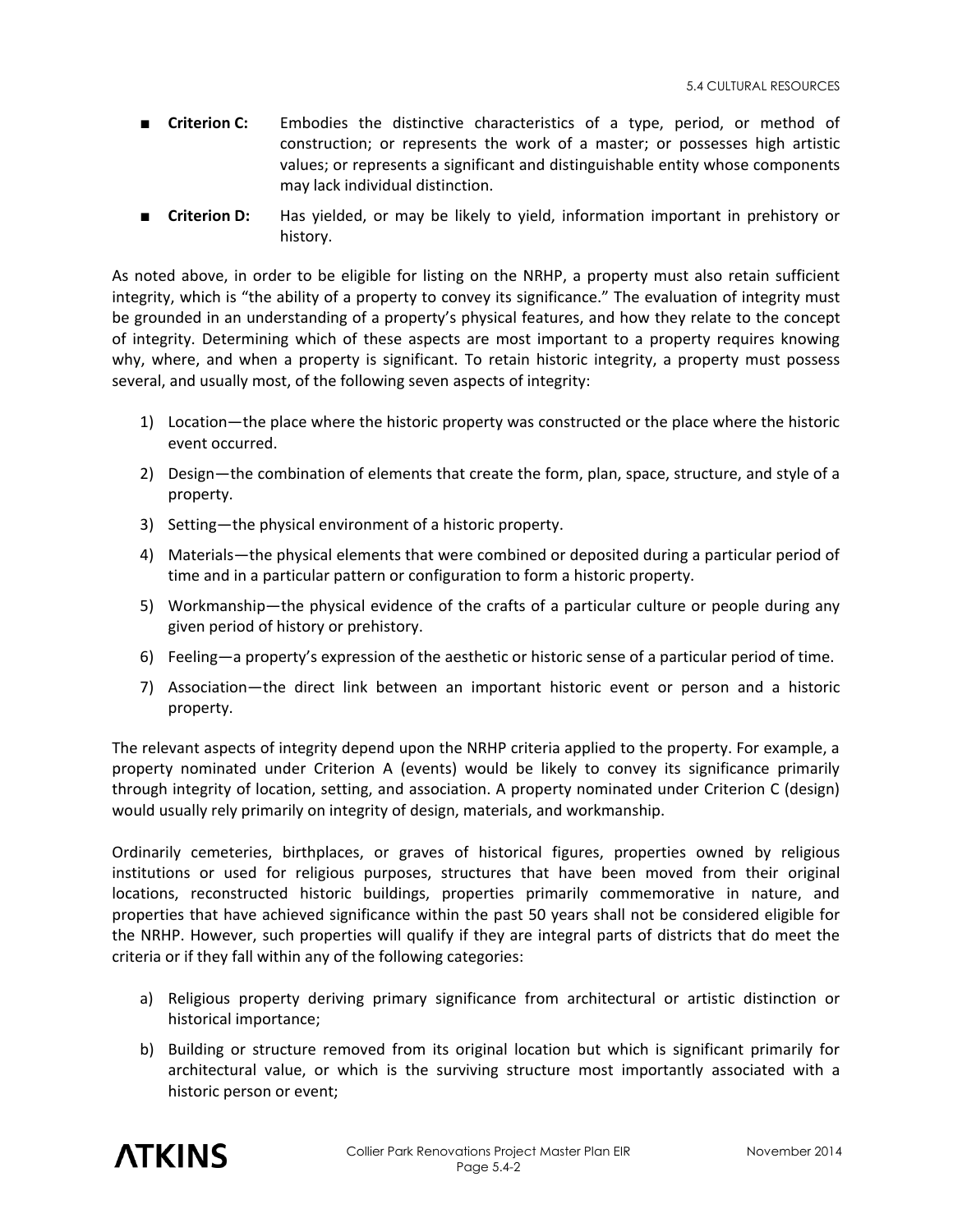- **Criterion C:** Embodies the distinctive characteristics of a type, period, or method of construction; or represents the work of a master; or possesses high artistic values; or represents a significant and distinguishable entity whose components may lack individual distinction.
- **Criterion D:** Has yielded, or may be likely to yield, information important in prehistory or history.

As noted above, in order to be eligible for listing on the NRHP, a property must also retain sufficient integrity, which is "the ability of a property to convey its significance." The evaluation of integrity must be grounded in an understanding of a property's physical features, and how they relate to the concept of integrity. Determining which of these aspects are most important to a property requires knowing why, where, and when a property is significant. To retain historic integrity, a property must possess several, and usually most, of the following seven aspects of integrity:

- 1) Location—the place where the historic property was constructed or the place where the historic event occurred.
- 2) Design—the combination of elements that create the form, plan, space, structure, and style of a property.
- 3) Setting—the physical environment of a historic property.
- 4) Materials—the physical elements that were combined or deposited during a particular period of time and in a particular pattern or configuration to form a historic property.
- 5) Workmanship—the physical evidence of the crafts of a particular culture or people during any given period of history or prehistory.
- 6) Feeling—a property's expression of the aesthetic or historic sense of a particular period of time.
- 7) Association—the direct link between an important historic event or person and a historic property.

The relevant aspects of integrity depend upon the NRHP criteria applied to the property. For example, a property nominated under Criterion A (events) would be likely to convey its significance primarily through integrity of location, setting, and association. A property nominated under Criterion C (design) would usually rely primarily on integrity of design, materials, and workmanship.

Ordinarily cemeteries, birthplaces, or graves of historical figures, properties owned by religious institutions or used for religious purposes, structures that have been moved from their original locations, reconstructed historic buildings, properties primarily commemorative in nature, and properties that have achieved significance within the past 50 years shall not be considered eligible for the NRHP. However, such properties will qualify if they are integral parts of districts that do meet the criteria or if they fall within any of the following categories:

- a) Religious property deriving primary significance from architectural or artistic distinction or historical importance;
- b) Building or structure removed from its original location but which is significant primarily for architectural value, or which is the surviving structure most importantly associated with a historic person or event;

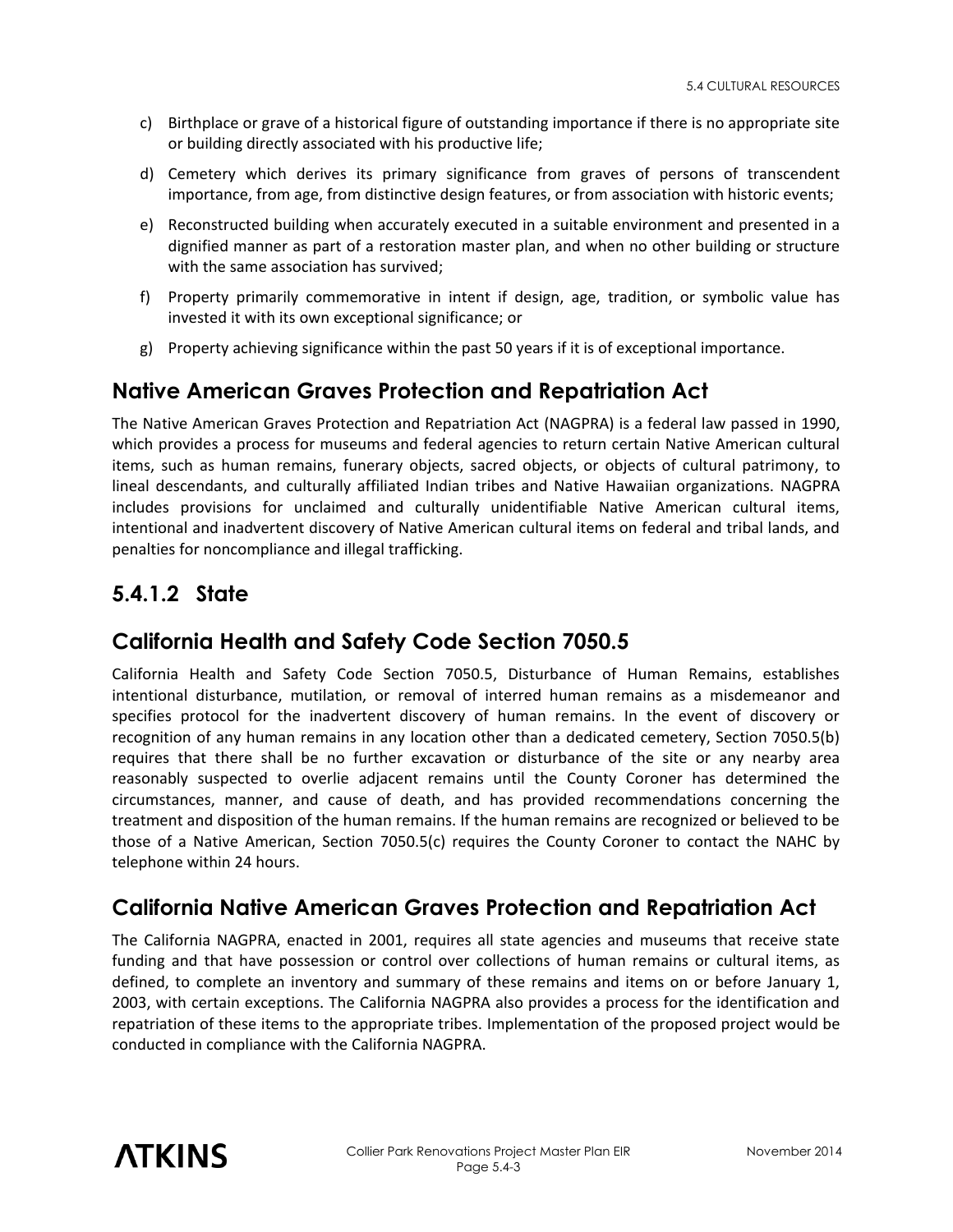- c) Birthplace or grave of a historical figure of outstanding importance if there is no appropriate site or building directly associated with his productive life;
- d) Cemetery which derives its primary significance from graves of persons of transcendent importance, from age, from distinctive design features, or from association with historic events;
- e) Reconstructed building when accurately executed in a suitable environment and presented in a dignified manner as part of a restoration master plan, and when no other building or structure with the same association has survived;
- f) Property primarily commemorative in intent if design, age, tradition, or symbolic value has invested it with its own exceptional significance; or
- g) Property achieving significance within the past 50 years if it is of exceptional importance.

## **Native American Graves Protection and Repatriation Act**

The Native American Graves Protection and Repatriation Act (NAGPRA) is a federal law passed in 1990, which provides a process for museums and federal agencies to return certain Native American cultural items, such as human remains, funerary objects, sacred objects, or objects of cultural patrimony, to lineal descendants, and culturally affiliated Indian tribes and Native Hawaiian organizations. NAGPRA includes provisions for unclaimed and culturally unidentifiable Native American cultural items, intentional and inadvertent discovery of Native American cultural items on federal and tribal lands, and penalties for noncompliance and illegal trafficking.

## **5.4.1.2 State**

### **California Health and Safety Code Section 7050.5**

California Health and Safety Code Section 7050.5, Disturbance of Human Remains, establishes intentional disturbance, mutilation, or removal of interred human remains as a misdemeanor and specifies protocol for the inadvertent discovery of human remains. In the event of discovery or recognition of any human remains in any location other than a dedicated cemetery, Section 7050.5(b) requires that there shall be no further excavation or disturbance of the site or any nearby area reasonably suspected to overlie adjacent remains until the County Coroner has determined the circumstances, manner, and cause of death, and has provided recommendations concerning the treatment and disposition of the human remains. If the human remains are recognized or believed to be those of a Native American, Section 7050.5(c) requires the County Coroner to contact the NAHC by telephone within 24 hours.

# **California Native American Graves Protection and Repatriation Act**

The California NAGPRA, enacted in 2001, requires all state agencies and museums that receive state funding and that have possession or control over collections of human remains or cultural items, as defined, to complete an inventory and summary of these remains and items on or before January 1, 2003, with certain exceptions. The California NAGPRA also provides a process for the identification and repatriation of these items to the appropriate tribes. Implementation of the proposed project would be conducted in compliance with the California NAGPRA.

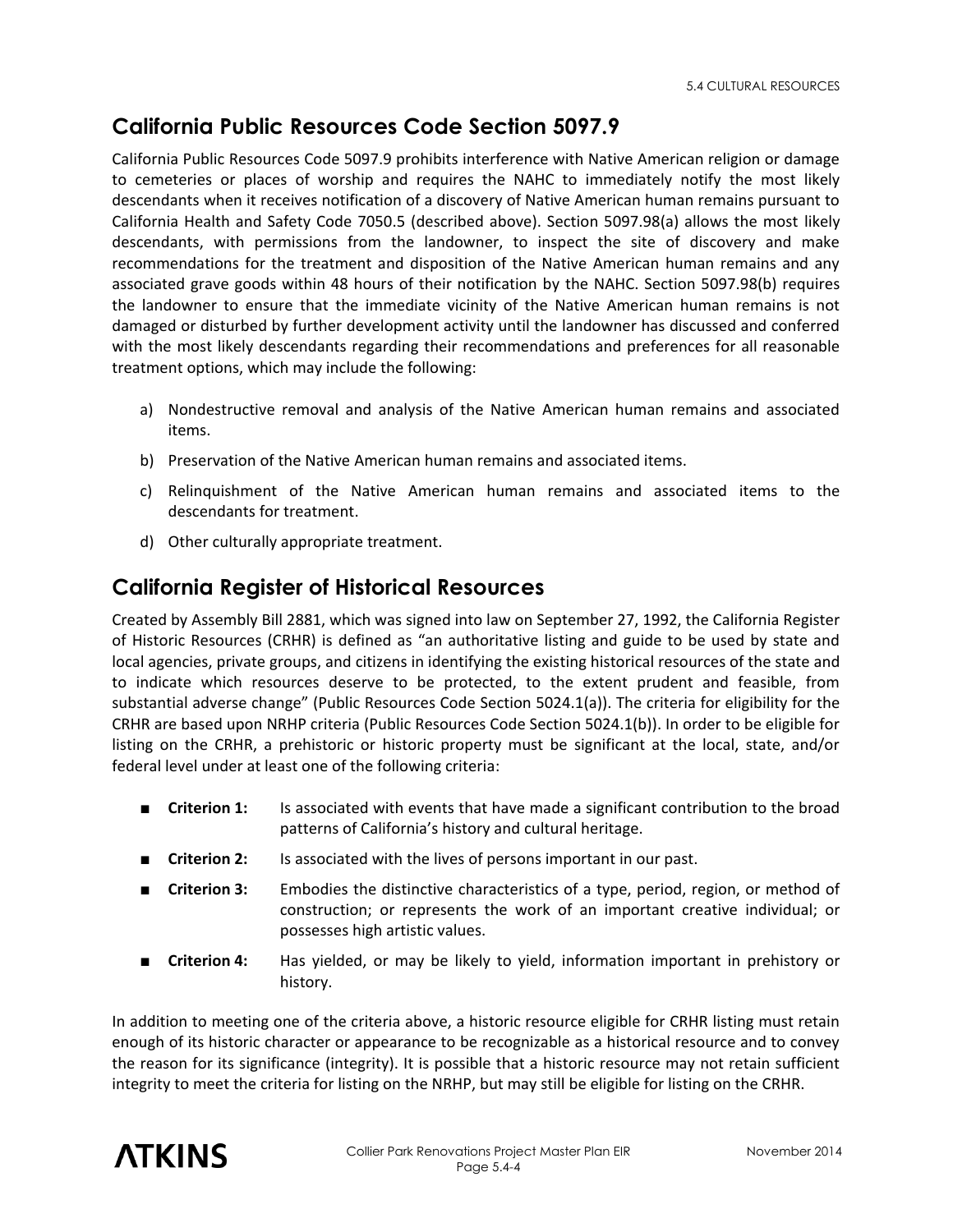# **California Public Resources Code Section 5097.9**

California Public Resources Code 5097.9 prohibits interference with Native American religion or damage to cemeteries or places of worship and requires the NAHC to immediately notify the most likely descendants when it receives notification of a discovery of Native American human remains pursuant to California Health and Safety Code 7050.5 (described above). Section 5097.98(a) allows the most likely descendants, with permissions from the landowner, to inspect the site of discovery and make recommendations for the treatment and disposition of the Native American human remains and any associated grave goods within 48 hours of their notification by the NAHC. Section 5097.98(b) requires the landowner to ensure that the immediate vicinity of the Native American human remains is not damaged or disturbed by further development activity until the landowner has discussed and conferred with the most likely descendants regarding their recommendations and preferences for all reasonable treatment options, which may include the following:

- a) Nondestructive removal and analysis of the Native American human remains and associated items.
- b) Preservation of the Native American human remains and associated items.
- c) Relinquishment of the Native American human remains and associated items to the descendants for treatment.
- d) Other culturally appropriate treatment.

### **California Register of Historical Resources**

Created by Assembly Bill 2881, which was signed into law on September 27, 1992, the California Register of Historic Resources (CRHR) is defined as "an authoritative listing and guide to be used by state and local agencies, private groups, and citizens in identifying the existing historical resources of the state and to indicate which resources deserve to be protected, to the extent prudent and feasible, from substantial adverse change" (Public Resources Code Section 5024.1(a)). The criteria for eligibility for the CRHR are based upon NRHP criteria (Public Resources Code Section 5024.1(b)). In order to be eligible for listing on the CRHR, a prehistoric or historic property must be significant at the local, state, and/or federal level under at least one of the following criteria:

- **Criterion 1:** Is associated with events that have made a significant contribution to the broad patterns of California's history and cultural heritage.
- **Criterion 2:** Is associated with the lives of persons important in our past.
- **Criterion 3:** Embodies the distinctive characteristics of a type, period, region, or method of construction; or represents the work of an important creative individual; or possesses high artistic values.
- **Criterion 4:** Has yielded, or may be likely to yield, information important in prehistory or history.

In addition to meeting one of the criteria above, a historic resource eligible for CRHR listing must retain enough of its historic character or appearance to be recognizable as a historical resource and to convey the reason for its significance (integrity). It is possible that a historic resource may not retain sufficient integrity to meet the criteria for listing on the NRHP, but may still be eligible for listing on the CRHR.

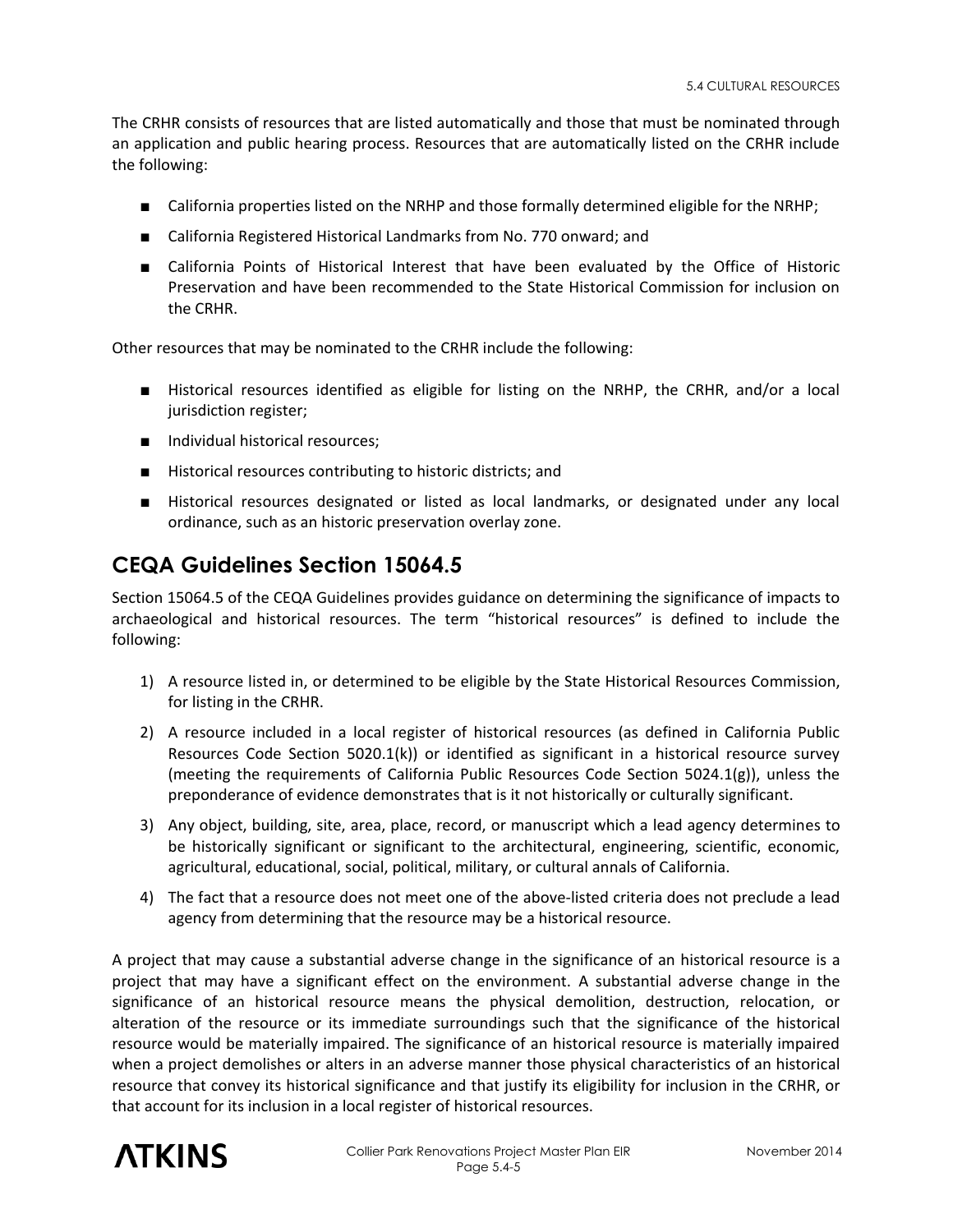The CRHR consists of resources that are listed automatically and those that must be nominated through an application and public hearing process. Resources that are automatically listed on the CRHR include the following:

- California properties listed on the NRHP and those formally determined eligible for the NRHP;
- California Registered Historical Landmarks from No. 770 onward; and
- California Points of Historical Interest that have been evaluated by the Office of Historic Preservation and have been recommended to the State Historical Commission for inclusion on the CRHR.

Other resources that may be nominated to the CRHR include the following:

- Historical resources identified as eligible for listing on the NRHP, the CRHR, and/or a local jurisdiction register;
- Individual historical resources;
- Historical resources contributing to historic districts; and
- Historical resources designated or listed as local landmarks, or designated under any local ordinance, such as an historic preservation overlay zone.

#### **CEQA Guidelines Section 15064.5**

Section 15064.5 of the CEQA Guidelines provides guidance on determining the significance of impacts to archaeological and historical resources. The term "historical resources" is defined to include the following:

- 1) A resource listed in, or determined to be eligible by the State Historical Resources Commission, for listing in the CRHR.
- 2) A resource included in a local register of historical resources (as defined in California Public Resources Code Section 5020.1(k)) or identified as significant in a historical resource survey (meeting the requirements of California Public Resources Code Section 5024.1(g)), unless the preponderance of evidence demonstrates that is it not historically or culturally significant.
- 3) Any object, building, site, area, place, record, or manuscript which a lead agency determines to be historically significant or significant to the architectural, engineering, scientific, economic, agricultural, educational, social, political, military, or cultural annals of California.
- 4) The fact that a resource does not meet one of the above-listed criteria does not preclude a lead agency from determining that the resource may be a historical resource.

A project that may cause a substantial adverse change in the significance of an historical resource is a project that may have a significant effect on the environment. A substantial adverse change in the significance of an historical resource means the physical demolition, destruction, relocation, or alteration of the resource or its immediate surroundings such that the significance of the historical resource would be materially impaired. The significance of an historical resource is materially impaired when a project demolishes or alters in an adverse manner those physical characteristics of an historical resource that convey its historical significance and that justify its eligibility for inclusion in the CRHR, or that account for its inclusion in a local register of historical resources.

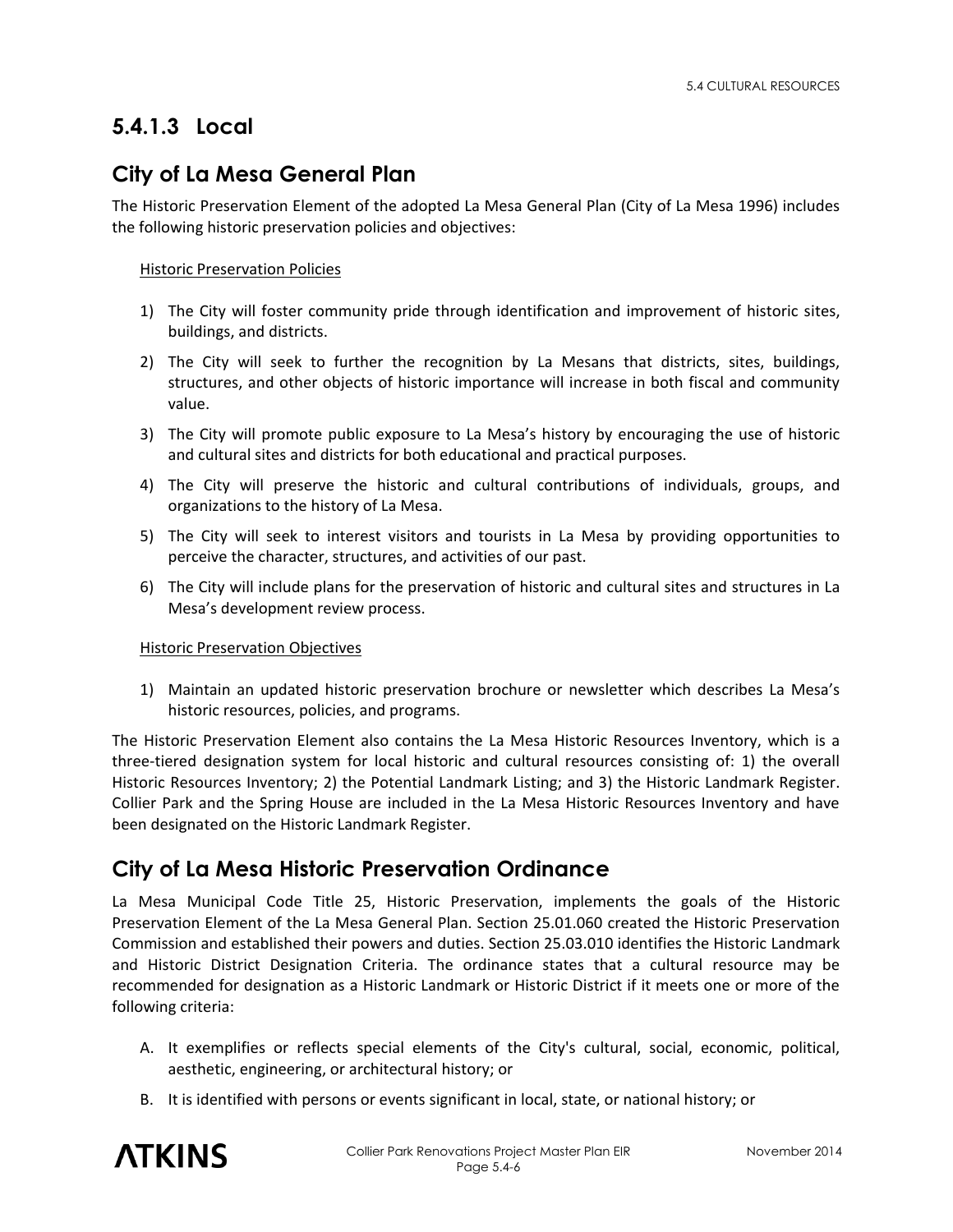# **5.4.1.3 Local**

## **City of La Mesa General Plan**

The Historic Preservation Element of the adopted La Mesa General Plan (City of La Mesa 1996) includes the following historic preservation policies and objectives:

#### Historic Preservation Policies

- 1) The City will foster community pride through identification and improvement of historic sites, buildings, and districts.
- 2) The City will seek to further the recognition by La Mesans that districts, sites, buildings, structures, and other objects of historic importance will increase in both fiscal and community value.
- 3) The City will promote public exposure to La Mesa's history by encouraging the use of historic and cultural sites and districts for both educational and practical purposes.
- 4) The City will preserve the historic and cultural contributions of individuals, groups, and organizations to the history of La Mesa.
- 5) The City will seek to interest visitors and tourists in La Mesa by providing opportunities to perceive the character, structures, and activities of our past.
- 6) The City will include plans for the preservation of historic and cultural sites and structures in La Mesa's development review process.

#### Historic Preservation Objectives

1) Maintain an updated historic preservation brochure or newsletter which describes La Mesa's historic resources, policies, and programs.

The Historic Preservation Element also contains the La Mesa Historic Resources Inventory, which is a three-tiered designation system for local historic and cultural resources consisting of: 1) the overall Historic Resources Inventory; 2) the Potential Landmark Listing; and 3) the Historic Landmark Register. Collier Park and the Spring House are included in the La Mesa Historic Resources Inventory and have been designated on the Historic Landmark Register.

### **City of La Mesa Historic Preservation Ordinance**

La Mesa Municipal Code Title 25, Historic Preservation, implements the goals of the Historic Preservation Element of the La Mesa General Plan. Section 25.01.060 created the Historic Preservation Commission and established their powers and duties. Section 25.03.010 identifies the Historic Landmark and Historic District Designation Criteria. The ordinance states that a cultural resource may be recommended for designation as a Historic Landmark or Historic District if it meets one or more of the following criteria:

- A. It exemplifies or reflects special elements of the City's cultural, social, economic, political, aesthetic, engineering, or architectural history; or
- B. It is identified with persons or events significant in local, state, or national history; or

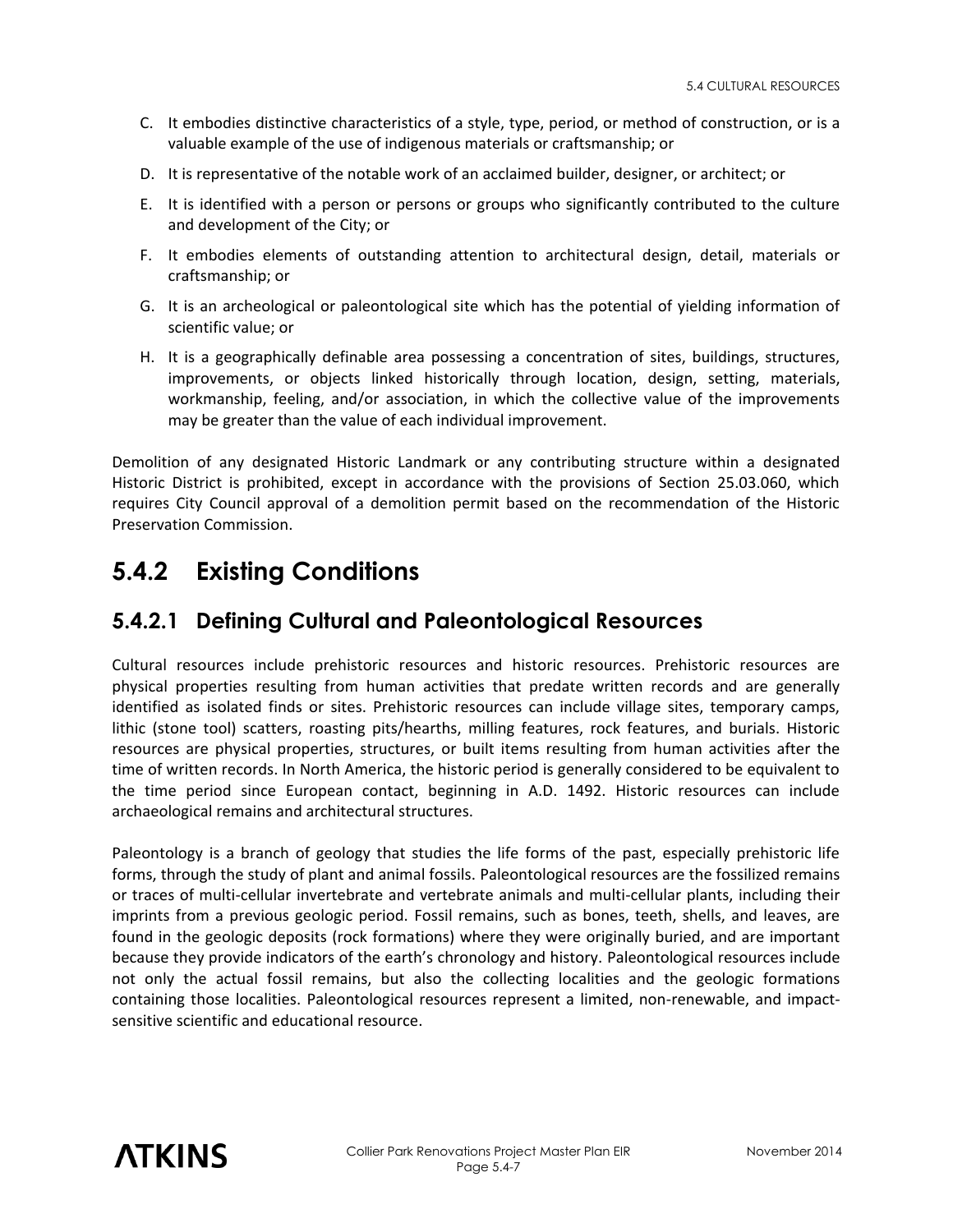- C. It embodies distinctive characteristics of a style, type, period, or method of construction, or is a valuable example of the use of indigenous materials or craftsmanship; or
- D. It is representative of the notable work of an acclaimed builder, designer, or architect; or
- E. It is identified with a person or persons or groups who significantly contributed to the culture and development of the City; or
- F. It embodies elements of outstanding attention to architectural design, detail, materials or craftsmanship; or
- G. It is an archeological or paleontological site which has the potential of yielding information of scientific value; or
- H. It is a geographically definable area possessing a concentration of sites, buildings, structures, improvements, or objects linked historically through location, design, setting, materials, workmanship, feeling, and/or association, in which the collective value of the improvements may be greater than the value of each individual improvement.

Demolition of any designated Historic Landmark or any contributing structure within a designated Historic District is prohibited, except in accordance with the provisions of Section 25.03.060, which requires City Council approval of a demolition permit based on the recommendation of the Historic Preservation Commission.

# **5.4.2 Existing Conditions**

#### **5.4.2.1 Defining Cultural and Paleontological Resources**

Cultural resources include prehistoric resources and historic resources. Prehistoric resources are physical properties resulting from human activities that predate written records and are generally identified as isolated finds or sites. Prehistoric resources can include village sites, temporary camps, lithic (stone tool) scatters, roasting pits/hearths, milling features, rock features, and burials. Historic resources are physical properties, structures, or built items resulting from human activities after the time of written records. In North America, the historic period is generally considered to be equivalent to the time period since European contact, beginning in A.D. 1492. Historic resources can include archaeological remains and architectural structures.

Paleontology is a branch of geology that studies the life forms of the past, especially prehistoric life forms, through the study of plant and animal fossils. Paleontological resources are the fossilized remains or traces of multi-cellular invertebrate and vertebrate animals and multi-cellular plants, including their imprints from a previous geologic period. Fossil remains, such as bones, teeth, shells, and leaves, are found in the geologic deposits (rock formations) where they were originally buried, and are important because they provide indicators of the earth's chronology and history. Paleontological resources include not only the actual fossil remains, but also the collecting localities and the geologic formations containing those localities. Paleontological resources represent a limited, non-renewable, and impactsensitive scientific and educational resource.

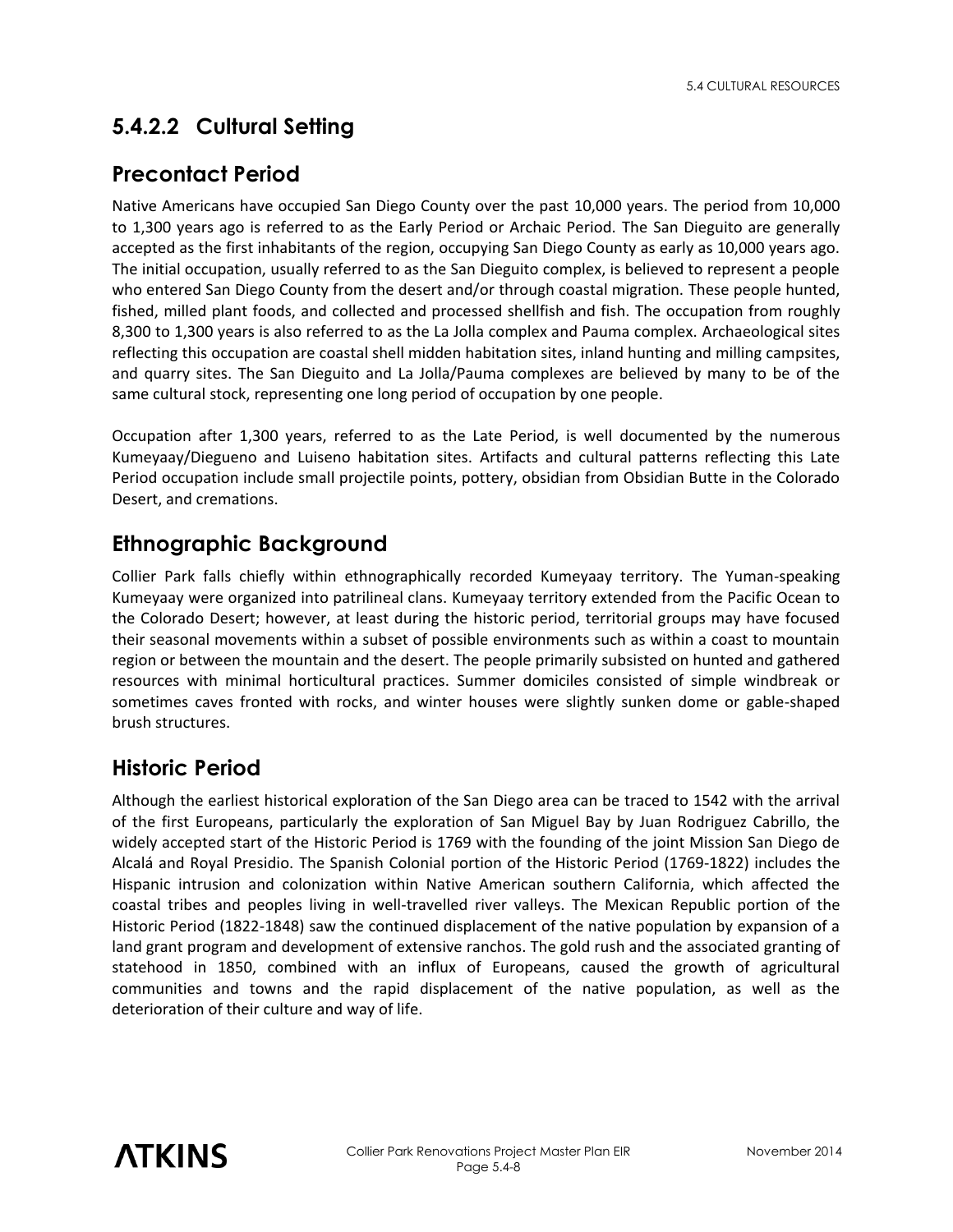# **5.4.2.2 Cultural Setting**

#### **Precontact Period**

Native Americans have occupied San Diego County over the past 10,000 years. The period from 10,000 to 1,300 years ago is referred to as the Early Period or Archaic Period. The San Dieguito are generally accepted as the first inhabitants of the region, occupying San Diego County as early as 10,000 years ago. The initial occupation, usually referred to as the San Dieguito complex, is believed to represent a people who entered San Diego County from the desert and/or through coastal migration. These people hunted, fished, milled plant foods, and collected and processed shellfish and fish. The occupation from roughly 8,300 to 1,300 years is also referred to as the La Jolla complex and Pauma complex. Archaeological sites reflecting this occupation are coastal shell midden habitation sites, inland hunting and milling campsites, and quarry sites. The San Dieguito and La Jolla/Pauma complexes are believed by many to be of the same cultural stock, representing one long period of occupation by one people.

Occupation after 1,300 years, referred to as the Late Period, is well documented by the numerous Kumeyaay/Diegueno and Luiseno habitation sites. Artifacts and cultural patterns reflecting this Late Period occupation include small projectile points, pottery, obsidian from Obsidian Butte in the Colorado Desert, and cremations.

### **Ethnographic Background**

Collier Park falls chiefly within ethnographically recorded Kumeyaay territory. The Yuman-speaking Kumeyaay were organized into patrilineal clans. Kumeyaay territory extended from the Pacific Ocean to the Colorado Desert; however, at least during the historic period, territorial groups may have focused their seasonal movements within a subset of possible environments such as within a coast to mountain region or between the mountain and the desert. The people primarily subsisted on hunted and gathered resources with minimal horticultural practices. Summer domiciles consisted of simple windbreak or sometimes caves fronted with rocks, and winter houses were slightly sunken dome or gable-shaped brush structures.

### **Historic Period**

Although the earliest historical exploration of the San Diego area can be traced to 1542 with the arrival of the first Europeans, particularly the exploration of San Miguel Bay by Juan Rodriguez Cabrillo, the widely accepted start of the Historic Period is 1769 with the founding of the joint Mission San Diego de Alcalá and Royal Presidio. The Spanish Colonial portion of the Historic Period (1769-1822) includes the Hispanic intrusion and colonization within Native American southern California, which affected the coastal tribes and peoples living in well-travelled river valleys. The Mexican Republic portion of the Historic Period (1822-1848) saw the continued displacement of the native population by expansion of a land grant program and development of extensive ranchos. The gold rush and the associated granting of statehood in 1850, combined with an influx of Europeans, caused the growth of agricultural communities and towns and the rapid displacement of the native population, as well as the deterioration of their culture and way of life.

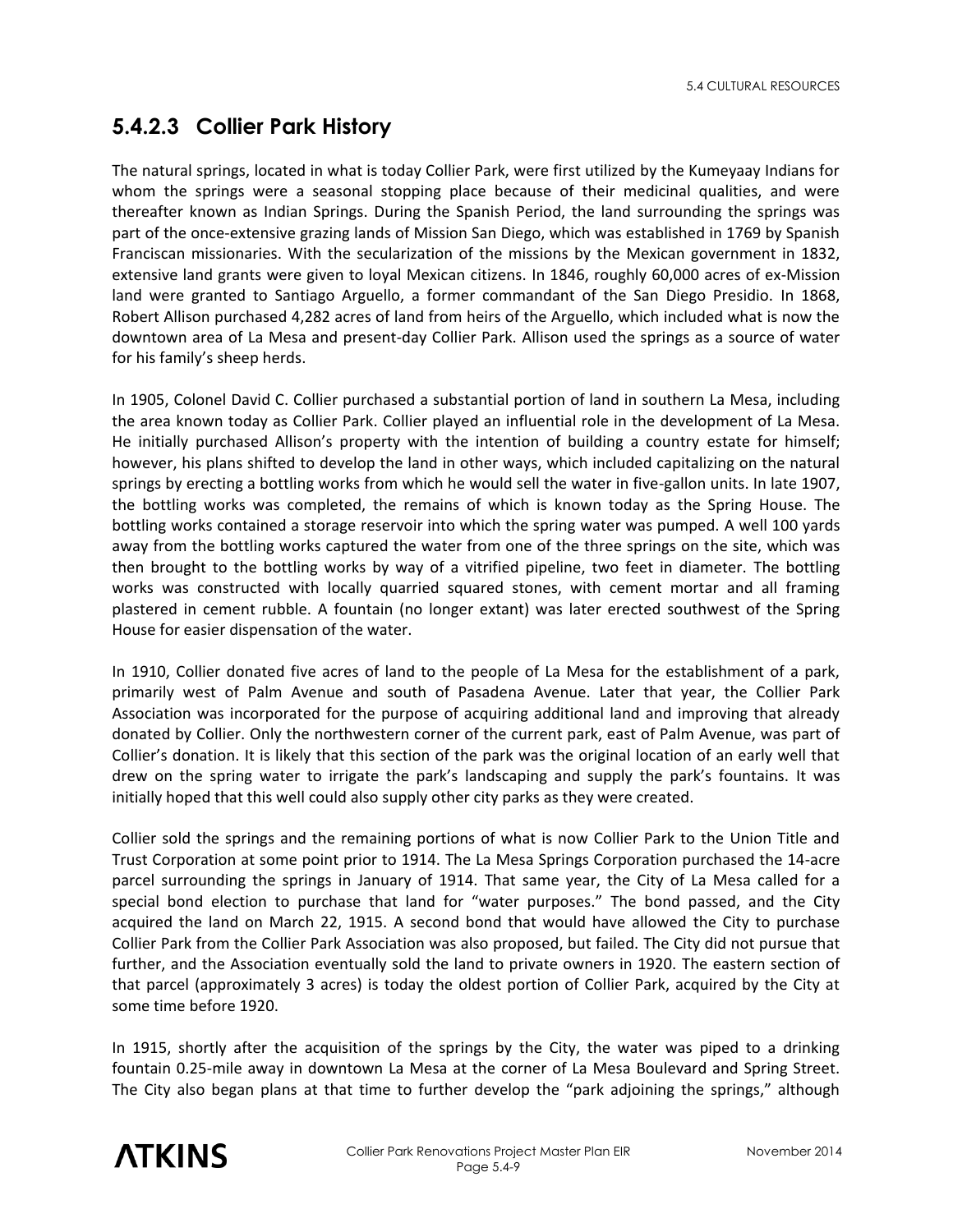5.4 CULTURAL RESOURCES

# **5.4.2.3 Collier Park History**

The natural springs, located in what is today Collier Park, were first utilized by the Kumeyaay Indians for whom the springs were a seasonal stopping place because of their medicinal qualities, and were thereafter known as Indian Springs. During the Spanish Period, the land surrounding the springs was part of the once-extensive grazing lands of Mission San Diego, which was established in 1769 by Spanish Franciscan missionaries. With the secularization of the missions by the Mexican government in 1832, extensive land grants were given to loyal Mexican citizens. In 1846, roughly 60,000 acres of ex-Mission land were granted to Santiago Arguello, a former commandant of the San Diego Presidio. In 1868, Robert Allison purchased 4,282 acres of land from heirs of the Arguello, which included what is now the downtown area of La Mesa and present-day Collier Park. Allison used the springs as a source of water for his family's sheep herds.

In 1905, Colonel David C. Collier purchased a substantial portion of land in southern La Mesa, including the area known today as Collier Park. Collier played an influential role in the development of La Mesa. He initially purchased Allison's property with the intention of building a country estate for himself; however, his plans shifted to develop the land in other ways, which included capitalizing on the natural springs by erecting a bottling works from which he would sell the water in five-gallon units. In late 1907, the bottling works was completed, the remains of which is known today as the Spring House. The bottling works contained a storage reservoir into which the spring water was pumped. A well 100 yards away from the bottling works captured the water from one of the three springs on the site, which was then brought to the bottling works by way of a vitrified pipeline, two feet in diameter. The bottling works was constructed with locally quarried squared stones, with cement mortar and all framing plastered in cement rubble. A fountain (no longer extant) was later erected southwest of the Spring House for easier dispensation of the water.

In 1910, Collier donated five acres of land to the people of La Mesa for the establishment of a park, primarily west of Palm Avenue and south of Pasadena Avenue. Later that year, the Collier Park Association was incorporated for the purpose of acquiring additional land and improving that already donated by Collier. Only the northwestern corner of the current park, east of Palm Avenue, was part of Collier's donation. It is likely that this section of the park was the original location of an early well that drew on the spring water to irrigate the park's landscaping and supply the park's fountains. It was initially hoped that this well could also supply other city parks as they were created.

Collier sold the springs and the remaining portions of what is now Collier Park to the Union Title and Trust Corporation at some point prior to 1914. The La Mesa Springs Corporation purchased the 14-acre parcel surrounding the springs in January of 1914. That same year, the City of La Mesa called for a special bond election to purchase that land for "water purposes." The bond passed, and the City acquired the land on March 22, 1915. A second bond that would have allowed the City to purchase Collier Park from the Collier Park Association was also proposed, but failed. The City did not pursue that further, and the Association eventually sold the land to private owners in 1920. The eastern section of that parcel (approximately 3 acres) is today the oldest portion of Collier Park, acquired by the City at some time before 1920.

In 1915, shortly after the acquisition of the springs by the City, the water was piped to a drinking fountain 0.25-mile away in downtown La Mesa at the corner of La Mesa Boulevard and Spring Street. The City also began plans at that time to further develop the "park adjoining the springs," although

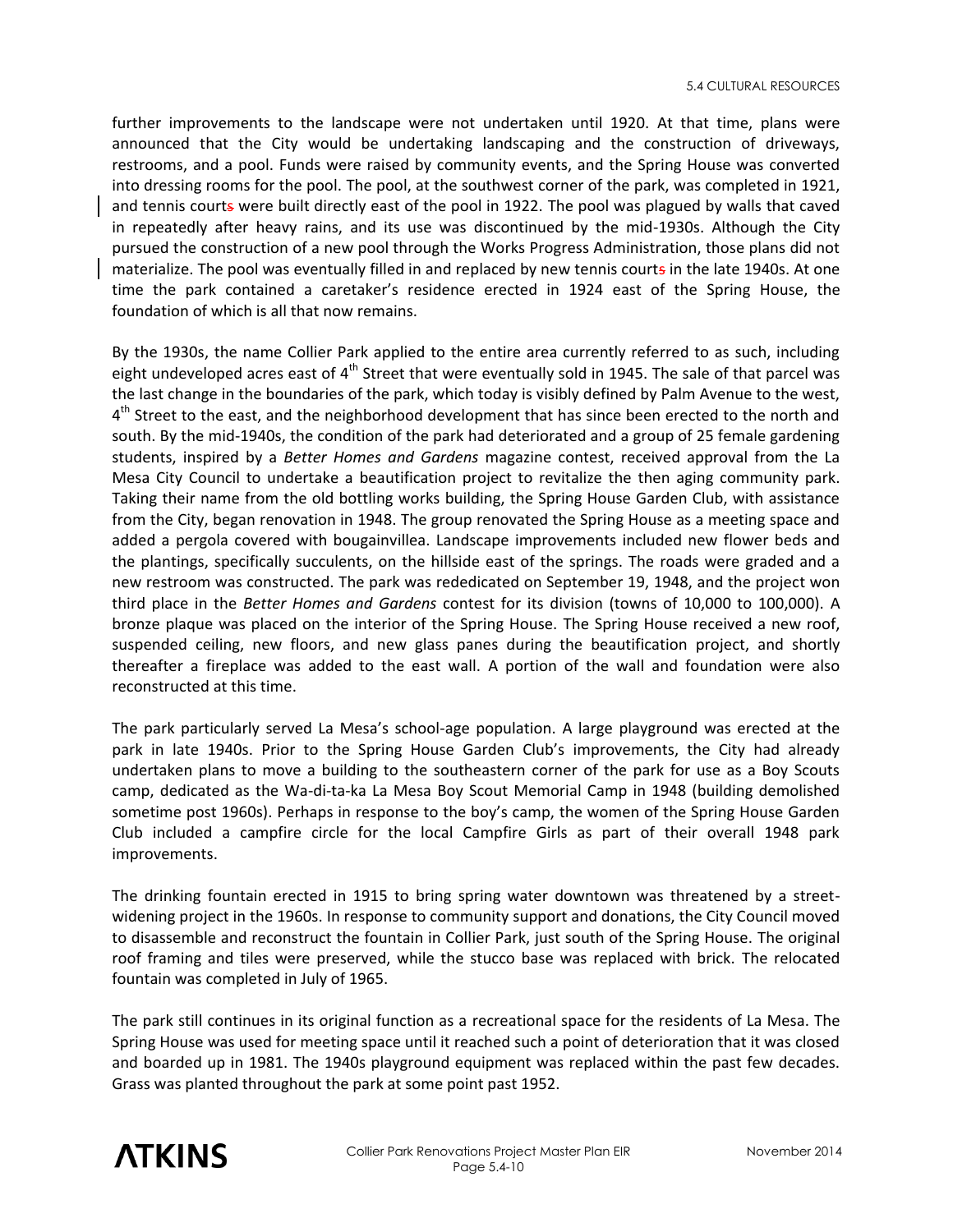further improvements to the landscape were not undertaken until 1920. At that time, plans were announced that the City would be undertaking landscaping and the construction of driveways, restrooms, and a pool. Funds were raised by community events, and the Spring House was converted into dressing rooms for the pool. The pool, at the southwest corner of the park, was completed in 1921, and tennis courts were built directly east of the pool in 1922. The pool was plagued by walls that caved in repeatedly after heavy rains, and its use was discontinued by the mid-1930s. Although the City pursued the construction of a new pool through the Works Progress Administration, those plans did not materialize. The pool was eventually filled in and replaced by new tennis courts in the late 1940s. At one time the park contained a caretaker's residence erected in 1924 east of the Spring House, the foundation of which is all that now remains.

By the 1930s, the name Collier Park applied to the entire area currently referred to as such, including eight undeveloped acres east of  $4<sup>th</sup>$  Street that were eventually sold in 1945. The sale of that parcel was the last change in the boundaries of the park, which today is visibly defined by Palm Avenue to the west, 4<sup>th</sup> Street to the east, and the neighborhood development that has since been erected to the north and south. By the mid-1940s, the condition of the park had deteriorated and a group of 25 female gardening students, inspired by a *Better Homes and Gardens* magazine contest, received approval from the La Mesa City Council to undertake a beautification project to revitalize the then aging community park. Taking their name from the old bottling works building, the Spring House Garden Club, with assistance from the City, began renovation in 1948. The group renovated the Spring House as a meeting space and added a pergola covered with bougainvillea. Landscape improvements included new flower beds and the plantings, specifically succulents, on the hillside east of the springs. The roads were graded and a new restroom was constructed. The park was rededicated on September 19, 1948, and the project won third place in the *Better Homes and Gardens* contest for its division (towns of 10,000 to 100,000). A bronze plaque was placed on the interior of the Spring House. The Spring House received a new roof, suspended ceiling, new floors, and new glass panes during the beautification project, and shortly thereafter a fireplace was added to the east wall. A portion of the wall and foundation were also reconstructed at this time.

The park particularly served La Mesa's school-age population. A large playground was erected at the park in late 1940s. Prior to the Spring House Garden Club's improvements, the City had already undertaken plans to move a building to the southeastern corner of the park for use as a Boy Scouts camp, dedicated as the Wa-di-ta-ka La Mesa Boy Scout Memorial Camp in 1948 (building demolished sometime post 1960s). Perhaps in response to the boy's camp, the women of the Spring House Garden Club included a campfire circle for the local Campfire Girls as part of their overall 1948 park improvements.

The drinking fountain erected in 1915 to bring spring water downtown was threatened by a streetwidening project in the 1960s. In response to community support and donations, the City Council moved to disassemble and reconstruct the fountain in Collier Park, just south of the Spring House. The original roof framing and tiles were preserved, while the stucco base was replaced with brick. The relocated fountain was completed in July of 1965.

The park still continues in its original function as a recreational space for the residents of La Mesa. The Spring House was used for meeting space until it reached such a point of deterioration that it was closed and boarded up in 1981. The 1940s playground equipment was replaced within the past few decades. Grass was planted throughout the park at some point past 1952.

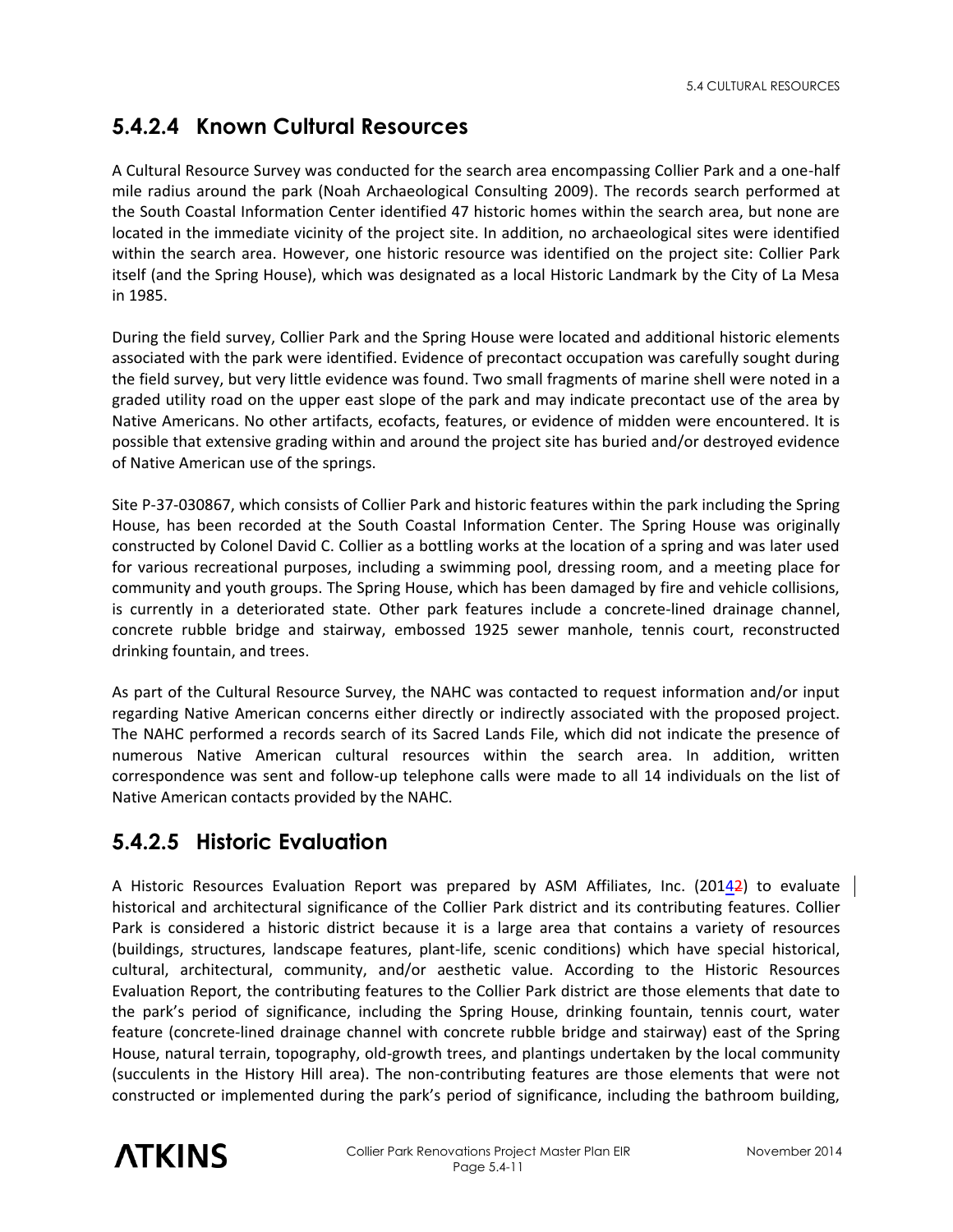# **5.4.2.4 Known Cultural Resources**

A Cultural Resource Survey was conducted for the search area encompassing Collier Park and a one-half mile radius around the park (Noah Archaeological Consulting 2009). The records search performed at the South Coastal Information Center identified 47 historic homes within the search area, but none are located in the immediate vicinity of the project site. In addition, no archaeological sites were identified within the search area. However, one historic resource was identified on the project site: Collier Park itself (and the Spring House), which was designated as a local Historic Landmark by the City of La Mesa in 1985.

During the field survey, Collier Park and the Spring House were located and additional historic elements associated with the park were identified. Evidence of precontact occupation was carefully sought during the field survey, but very little evidence was found. Two small fragments of marine shell were noted in a graded utility road on the upper east slope of the park and may indicate precontact use of the area by Native Americans. No other artifacts, ecofacts, features, or evidence of midden were encountered. It is possible that extensive grading within and around the project site has buried and/or destroyed evidence of Native American use of the springs.

Site P-37-030867, which consists of Collier Park and historic features within the park including the Spring House, has been recorded at the South Coastal Information Center. The Spring House was originally constructed by Colonel David C. Collier as a bottling works at the location of a spring and was later used for various recreational purposes, including a swimming pool, dressing room, and a meeting place for community and youth groups. The Spring House, which has been damaged by fire and vehicle collisions, is currently in a deteriorated state. Other park features include a concrete-lined drainage channel, concrete rubble bridge and stairway, embossed 1925 sewer manhole, tennis court, reconstructed drinking fountain, and trees.

As part of the Cultural Resource Survey, the NAHC was contacted to request information and/or input regarding Native American concerns either directly or indirectly associated with the proposed project. The NAHC performed a records search of its Sacred Lands File, which did not indicate the presence of numerous Native American cultural resources within the search area. In addition, written correspondence was sent and follow-up telephone calls were made to all 14 individuals on the list of Native American contacts provided by the NAHC.

# **5.4.2.5 Historic Evaluation**

A Historic Resources Evaluation Report was prepared by ASM Affiliates, Inc. (20142) to evaluate historical and architectural significance of the Collier Park district and its contributing features. Collier Park is considered a historic district because it is a large area that contains a variety of resources (buildings, structures, landscape features, plant-life, scenic conditions) which have special historical, cultural, architectural, community, and/or aesthetic value. According to the Historic Resources Evaluation Report, the contributing features to the Collier Park district are those elements that date to the park's period of significance, including the Spring House, drinking fountain, tennis court, water feature (concrete-lined drainage channel with concrete rubble bridge and stairway) east of the Spring House, natural terrain, topography, old-growth trees, and plantings undertaken by the local community (succulents in the History Hill area). The non-contributing features are those elements that were not constructed or implemented during the park's period of significance, including the bathroom building,

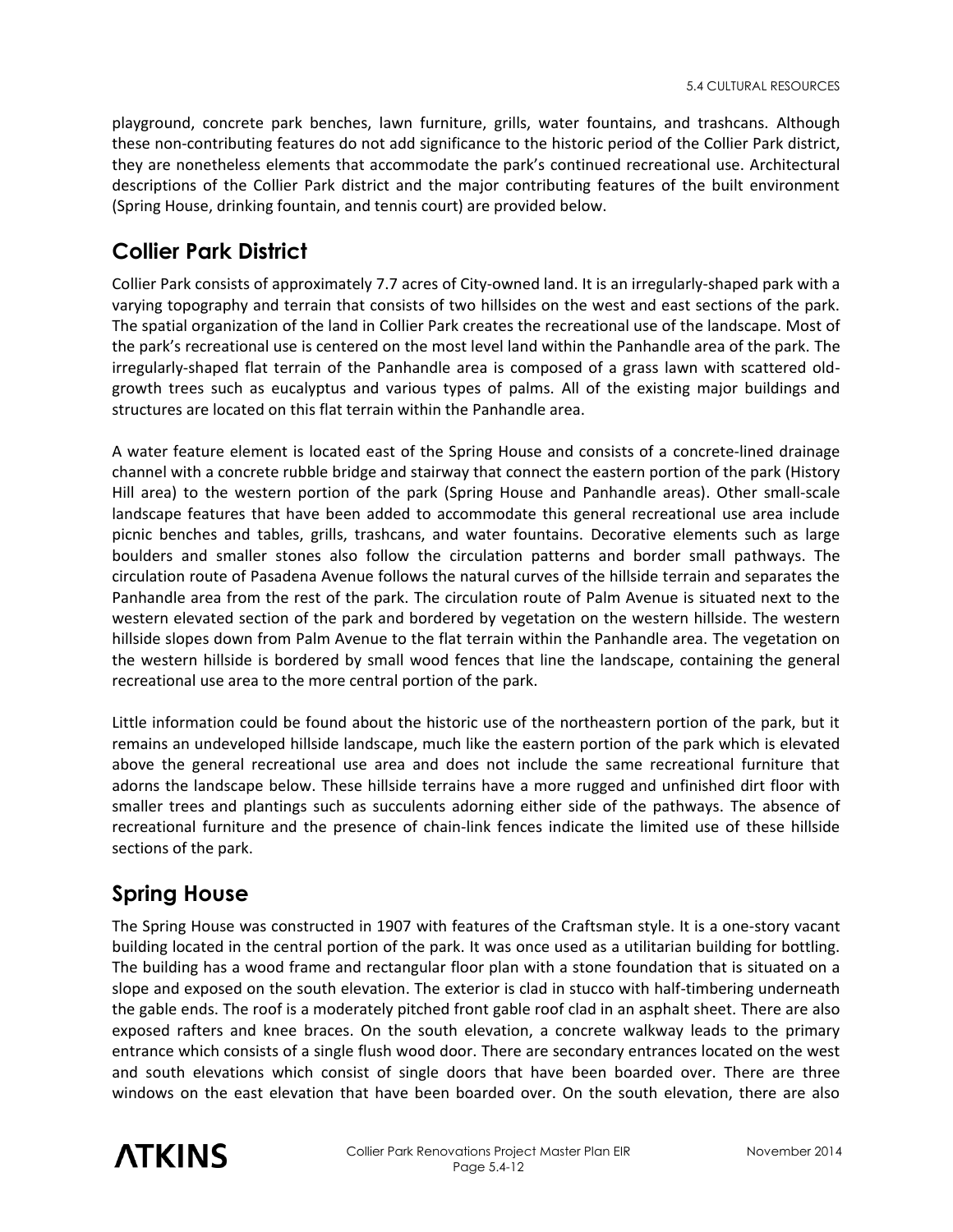playground, concrete park benches, lawn furniture, grills, water fountains, and trashcans. Although these non-contributing features do not add significance to the historic period of the Collier Park district, they are nonetheless elements that accommodate the park's continued recreational use. Architectural descriptions of the Collier Park district and the major contributing features of the built environment (Spring House, drinking fountain, and tennis court) are provided below.

# **Collier Park District**

Collier Park consists of approximately 7.7 acres of City-owned land. It is an irregularly-shaped park with a varying topography and terrain that consists of two hillsides on the west and east sections of the park. The spatial organization of the land in Collier Park creates the recreational use of the landscape. Most of the park's recreational use is centered on the most level land within the Panhandle area of the park. The irregularly-shaped flat terrain of the Panhandle area is composed of a grass lawn with scattered oldgrowth trees such as eucalyptus and various types of palms. All of the existing major buildings and structures are located on this flat terrain within the Panhandle area.

A water feature element is located east of the Spring House and consists of a concrete-lined drainage channel with a concrete rubble bridge and stairway that connect the eastern portion of the park (History Hill area) to the western portion of the park (Spring House and Panhandle areas). Other small-scale landscape features that have been added to accommodate this general recreational use area include picnic benches and tables, grills, trashcans, and water fountains. Decorative elements such as large boulders and smaller stones also follow the circulation patterns and border small pathways. The circulation route of Pasadena Avenue follows the natural curves of the hillside terrain and separates the Panhandle area from the rest of the park. The circulation route of Palm Avenue is situated next to the western elevated section of the park and bordered by vegetation on the western hillside. The western hillside slopes down from Palm Avenue to the flat terrain within the Panhandle area. The vegetation on the western hillside is bordered by small wood fences that line the landscape, containing the general recreational use area to the more central portion of the park.

Little information could be found about the historic use of the northeastern portion of the park, but it remains an undeveloped hillside landscape, much like the eastern portion of the park which is elevated above the general recreational use area and does not include the same recreational furniture that adorns the landscape below. These hillside terrains have a more rugged and unfinished dirt floor with smaller trees and plantings such as succulents adorning either side of the pathways. The absence of recreational furniture and the presence of chain-link fences indicate the limited use of these hillside sections of the park.

# **Spring House**

The Spring House was constructed in 1907 with features of the Craftsman style. It is a one-story vacant building located in the central portion of the park. It was once used as a utilitarian building for bottling. The building has a wood frame and rectangular floor plan with a stone foundation that is situated on a slope and exposed on the south elevation. The exterior is clad in stucco with half-timbering underneath the gable ends. The roof is a moderately pitched front gable roof clad in an asphalt sheet. There are also exposed rafters and knee braces. On the south elevation, a concrete walkway leads to the primary entrance which consists of a single flush wood door. There are secondary entrances located on the west and south elevations which consist of single doors that have been boarded over. There are three windows on the east elevation that have been boarded over. On the south elevation, there are also

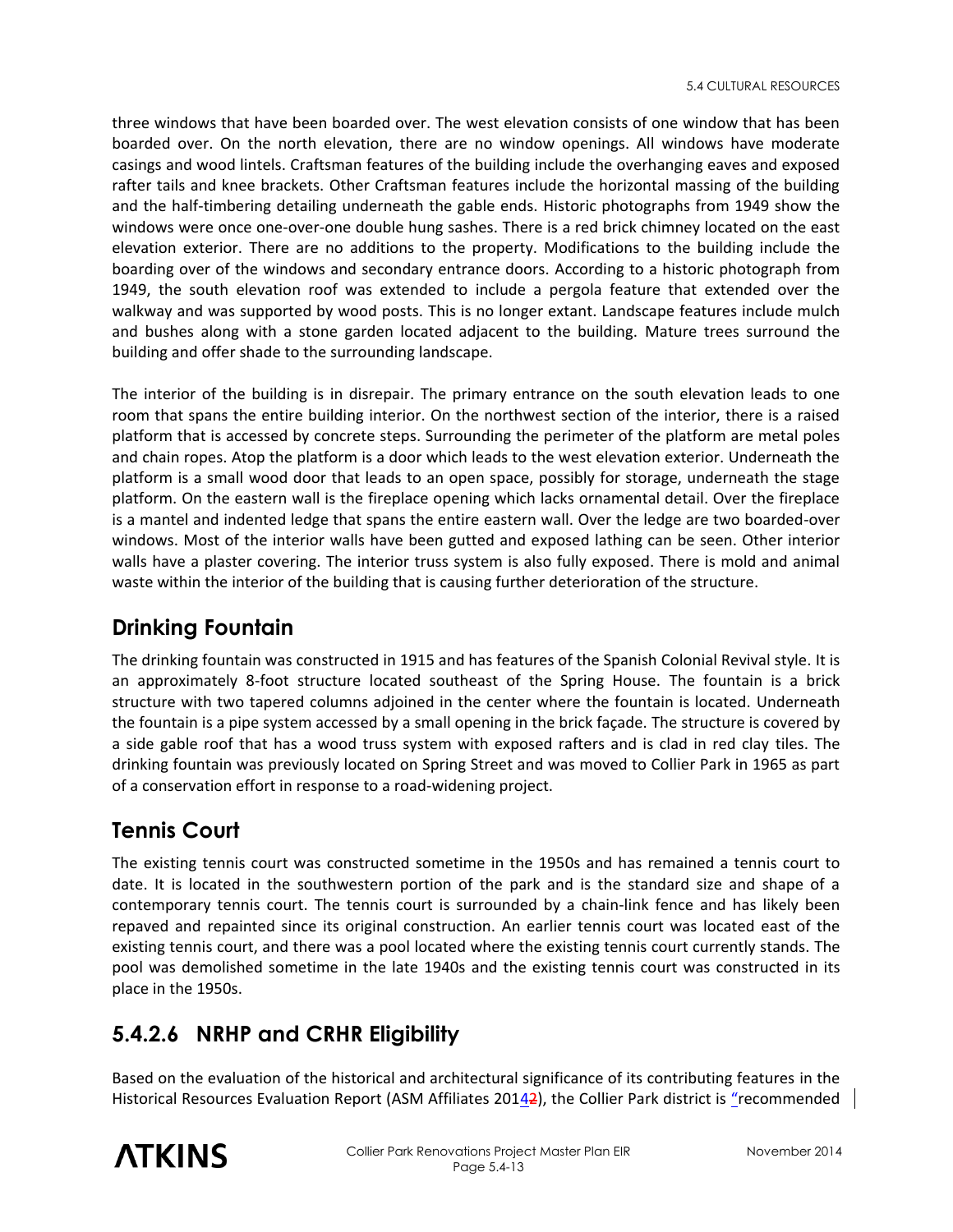three windows that have been boarded over. The west elevation consists of one window that has been boarded over. On the north elevation, there are no window openings. All windows have moderate casings and wood lintels. Craftsman features of the building include the overhanging eaves and exposed rafter tails and knee brackets. Other Craftsman features include the horizontal massing of the building and the half-timbering detailing underneath the gable ends. Historic photographs from 1949 show the windows were once one-over-one double hung sashes. There is a red brick chimney located on the east elevation exterior. There are no additions to the property. Modifications to the building include the boarding over of the windows and secondary entrance doors. According to a historic photograph from 1949, the south elevation roof was extended to include a pergola feature that extended over the walkway and was supported by wood posts. This is no longer extant. Landscape features include mulch and bushes along with a stone garden located adjacent to the building. Mature trees surround the building and offer shade to the surrounding landscape.

The interior of the building is in disrepair. The primary entrance on the south elevation leads to one room that spans the entire building interior. On the northwest section of the interior, there is a raised platform that is accessed by concrete steps. Surrounding the perimeter of the platform are metal poles and chain ropes. Atop the platform is a door which leads to the west elevation exterior. Underneath the platform is a small wood door that leads to an open space, possibly for storage, underneath the stage platform. On the eastern wall is the fireplace opening which lacks ornamental detail. Over the fireplace is a mantel and indented ledge that spans the entire eastern wall. Over the ledge are two boarded-over windows. Most of the interior walls have been gutted and exposed lathing can be seen. Other interior walls have a plaster covering. The interior truss system is also fully exposed. There is mold and animal waste within the interior of the building that is causing further deterioration of the structure.

## **Drinking Fountain**

The drinking fountain was constructed in 1915 and has features of the Spanish Colonial Revival style. It is an approximately 8-foot structure located southeast of the Spring House. The fountain is a brick structure with two tapered columns adjoined in the center where the fountain is located. Underneath the fountain is a pipe system accessed by a small opening in the brick façade. The structure is covered by a side gable roof that has a wood truss system with exposed rafters and is clad in red clay tiles. The drinking fountain was previously located on Spring Street and was moved to Collier Park in 1965 as part of a conservation effort in response to a road-widening project.

### **Tennis Court**

The existing tennis court was constructed sometime in the 1950s and has remained a tennis court to date. It is located in the southwestern portion of the park and is the standard size and shape of a contemporary tennis court. The tennis court is surrounded by a chain-link fence and has likely been repaved and repainted since its original construction. An earlier tennis court was located east of the existing tennis court, and there was a pool located where the existing tennis court currently stands. The pool was demolished sometime in the late 1940s and the existing tennis court was constructed in its place in the 1950s.

# **5.4.2.6 NRHP and CRHR Eligibility**

Based on the evaluation of the historical and architectural significance of its contributing features in the Historical Resources Evaluation Report (ASM Affiliates 20142), the Collier Park district is "recommended

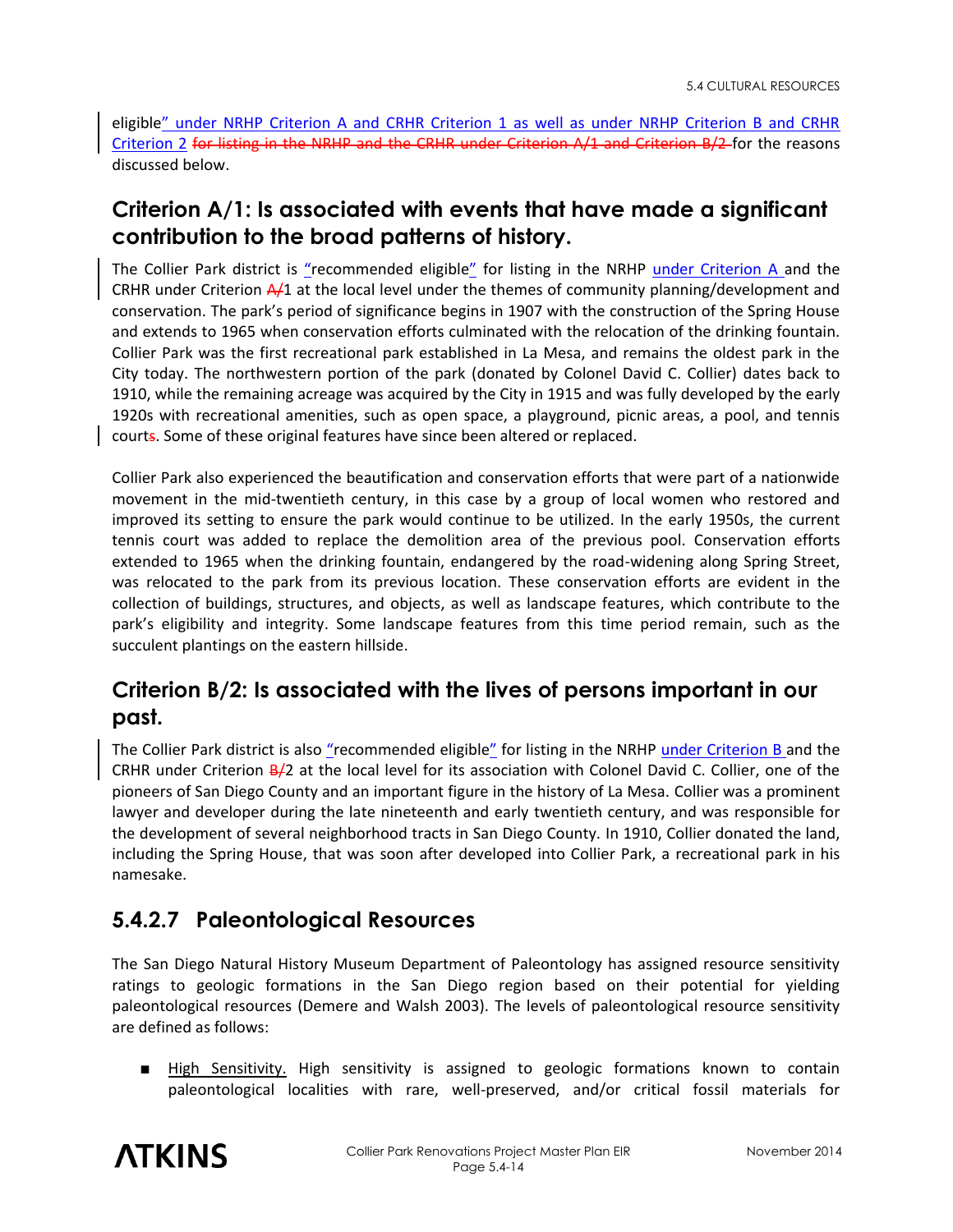eligible" under NRHP Criterion A and CRHR Criterion 1 as well as under NRHP Criterion B and CRHR Criterion 2 for listing in the NRHP and the CRHR under Criterion A/1 and Criterion B/2 for the reasons discussed below.

## **Criterion A/1: Is associated with events that have made a significant contribution to the broad patterns of history.**

The Collier Park district is "recommended eligible" for listing in the NRHP under Criterion A and the CRHR under Criterion  $\frac{A}{1}$  at the local level under the themes of community planning/development and conservation. The park's period of significance begins in 1907 with the construction of the Spring House and extends to 1965 when conservation efforts culminated with the relocation of the drinking fountain. Collier Park was the first recreational park established in La Mesa, and remains the oldest park in the City today. The northwestern portion of the park (donated by Colonel David C. Collier) dates back to 1910, while the remaining acreage was acquired by the City in 1915 and was fully developed by the early 1920s with recreational amenities, such as open space, a playground, picnic areas, a pool, and tennis courts. Some of these original features have since been altered or replaced.

Collier Park also experienced the beautification and conservation efforts that were part of a nationwide movement in the mid-twentieth century, in this case by a group of local women who restored and improved its setting to ensure the park would continue to be utilized. In the early 1950s, the current tennis court was added to replace the demolition area of the previous pool. Conservation efforts extended to 1965 when the drinking fountain, endangered by the road-widening along Spring Street, was relocated to the park from its previous location. These conservation efforts are evident in the collection of buildings, structures, and objects, as well as landscape features, which contribute to the park's eligibility and integrity. Some landscape features from this time period remain, such as the succulent plantings on the eastern hillside.

## **Criterion B/2: Is associated with the lives of persons important in our past.**

The Collier Park district is also "recommended eligible" for listing in the NRHP under Criterion B and the CRHR under Criterion  $B/2$  at the local level for its association with Colonel David C. Collier, one of the pioneers of San Diego County and an important figure in the history of La Mesa. Collier was a prominent lawyer and developer during the late nineteenth and early twentieth century, and was responsible for the development of several neighborhood tracts in San Diego County. In 1910, Collier donated the land, including the Spring House, that was soon after developed into Collier Park, a recreational park in his namesake.

### **5.4.2.7 Paleontological Resources**

The San Diego Natural History Museum Department of Paleontology has assigned resource sensitivity ratings to geologic formations in the San Diego region based on their potential for yielding paleontological resources (Demere and Walsh 2003). The levels of paleontological resource sensitivity are defined as follows:

■ High Sensitivity. High sensitivity is assigned to geologic formations known to contain paleontological localities with rare, well-preserved, and/or critical fossil materials for

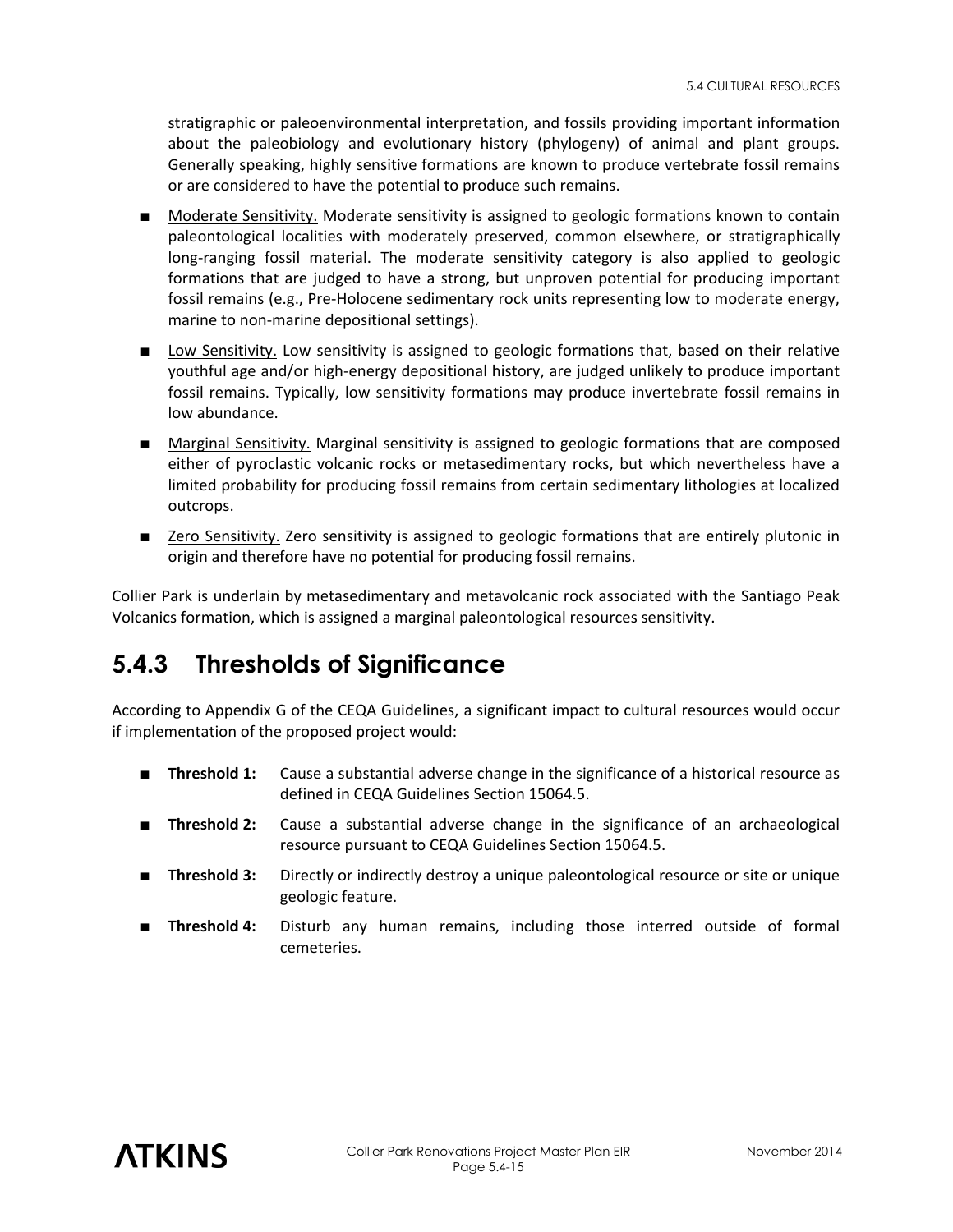stratigraphic or paleoenvironmental interpretation, and fossils providing important information about the paleobiology and evolutionary history (phylogeny) of animal and plant groups. Generally speaking, highly sensitive formations are known to produce vertebrate fossil remains or are considered to have the potential to produce such remains.

- Moderate Sensitivity. Moderate sensitivity is assigned to geologic formations known to contain paleontological localities with moderately preserved, common elsewhere, or stratigraphically long-ranging fossil material. The moderate sensitivity category is also applied to geologic formations that are judged to have a strong, but unproven potential for producing important fossil remains (e.g., Pre-Holocene sedimentary rock units representing low to moderate energy, marine to non-marine depositional settings).
- Low Sensitivity. Low sensitivity is assigned to geologic formations that, based on their relative youthful age and/or high-energy depositional history, are judged unlikely to produce important fossil remains. Typically, low sensitivity formations may produce invertebrate fossil remains in low abundance.
- Marginal Sensitivity. Marginal sensitivity is assigned to geologic formations that are composed either of pyroclastic volcanic rocks or metasedimentary rocks, but which nevertheless have a limited probability for producing fossil remains from certain sedimentary lithologies at localized outcrops.
- Zero Sensitivity. Zero sensitivity is assigned to geologic formations that are entirely plutonic in origin and therefore have no potential for producing fossil remains.

Collier Park is underlain by metasedimentary and metavolcanic rock associated with the Santiago Peak Volcanics formation, which is assigned a marginal paleontological resources sensitivity.

# **5.4.3 Thresholds of Significance**

According to Appendix G of the CEQA Guidelines, a significant impact to cultural resources would occur if implementation of the proposed project would:

- **Threshold 1:** Cause a substantial adverse change in the significance of a historical resource as defined in CEQA Guidelines Section 15064.5.
- **Threshold 2:** Cause a substantial adverse change in the significance of an archaeological resource pursuant to CEQA Guidelines Section 15064.5.
- **Threshold 3:** Directly or indirectly destroy a unique paleontological resource or site or unique geologic feature.
- **Threshold 4:** Disturb any human remains, including those interred outside of formal cemeteries.

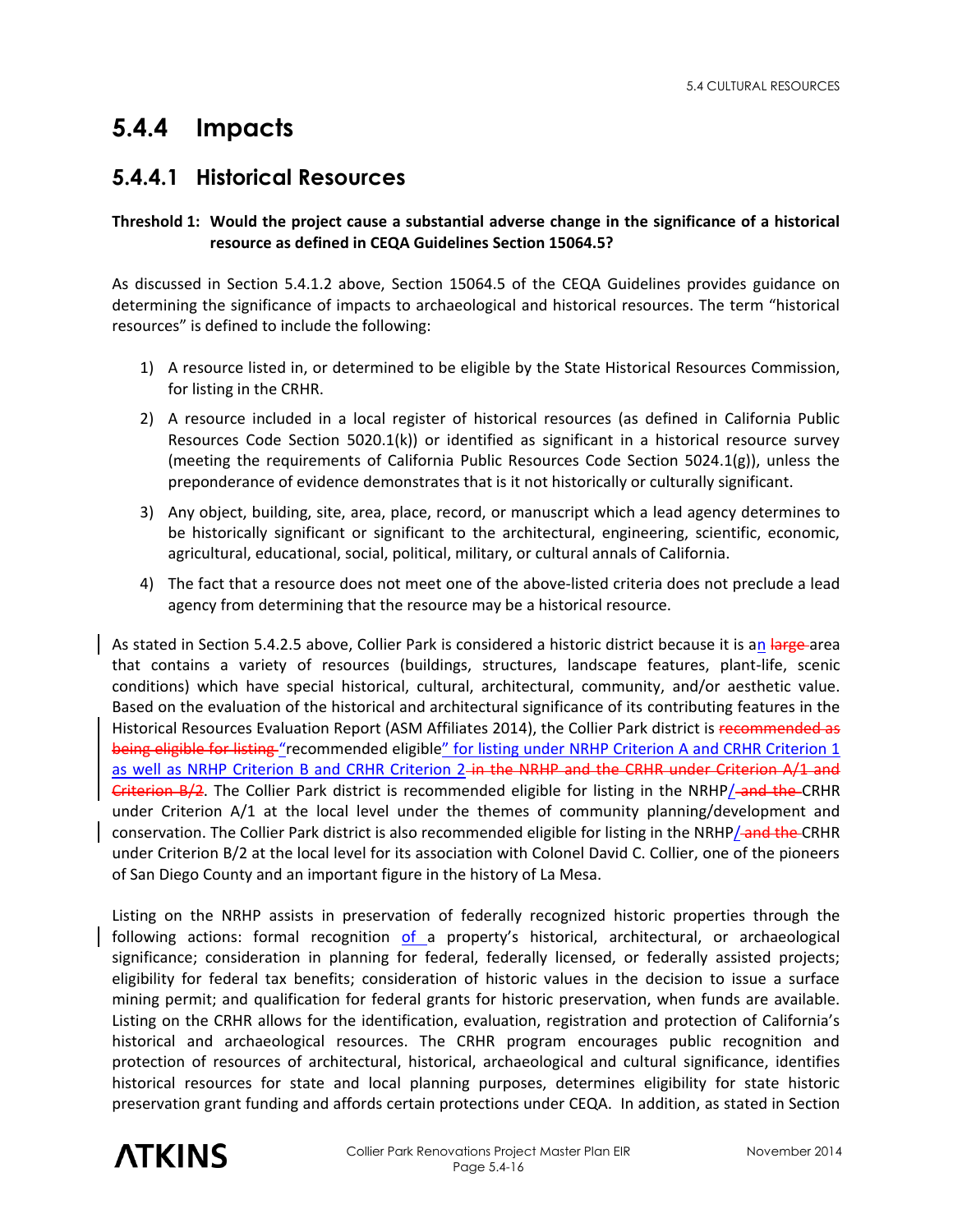# **5.4.4 Impacts**

## **5.4.4.1 Historical Resources**

#### **Threshold 1: Would the project cause a substantial adverse change in the significance of a historical resource as defined in CEQA Guidelines Section 15064.5?**

As discussed in Section 5.4.1.2 above, Section 15064.5 of the CEQA Guidelines provides guidance on determining the significance of impacts to archaeological and historical resources. The term "historical resources" is defined to include the following:

- 1) A resource listed in, or determined to be eligible by the State Historical Resources Commission, for listing in the CRHR.
- 2) A resource included in a local register of historical resources (as defined in California Public Resources Code Section 5020.1(k)) or identified as significant in a historical resource survey (meeting the requirements of California Public Resources Code Section 5024.1(g)), unless the preponderance of evidence demonstrates that is it not historically or culturally significant.
- 3) Any object, building, site, area, place, record, or manuscript which a lead agency determines to be historically significant or significant to the architectural, engineering, scientific, economic, agricultural, educational, social, political, military, or cultural annals of California.
- 4) The fact that a resource does not meet one of the above-listed criteria does not preclude a lead agency from determining that the resource may be a historical resource.

As stated in Section 5.4.2.5 above, Collier Park is considered a historic district because it is an large area that contains a variety of resources (buildings, structures, landscape features, plant-life, scenic conditions) which have special historical, cultural, architectural, community, and/or aesthetic value. Based on the evaluation of the historical and architectural significance of its contributing features in the Historical Resources Evaluation Report (ASM Affiliates 2014), the Collier Park district is recommended as being eligible for listing "recommended eligible" for listing under NRHP Criterion A and CRHR Criterion 1 as well as NRHP Criterion B and CRHR Criterion 2-in the NRHP and the CRHR under Criterion A/1 and Criterion B/2. The Collier Park district is recommended eligible for listing in the NRHP/-and the CRHR under Criterion A/1 at the local level under the themes of community planning/development and conservation. The Collier Park district is also recommended eligible for listing in the NRHP/-and the CRHR under Criterion B/2 at the local level for its association with Colonel David C. Collier, one of the pioneers of San Diego County and an important figure in the history of La Mesa.

Listing on the NRHP assists in preservation of federally recognized historic properties through the following actions: formal recognition of a property's historical, architectural, or archaeological significance; consideration in planning for federal, federally licensed, or federally assisted projects; eligibility for federal tax benefits; consideration of historic values in the decision to issue a surface mining permit; and qualification for federal grants for historic preservation, when funds are available. Listing on the CRHR allows for the identification, evaluation, registration and protection of California's historical and archaeological resources. The CRHR program encourages public recognition and protection of resources of architectural, historical, archaeological and cultural significance, identifies historical resources for state and local planning purposes, determines eligibility for state historic preservation grant funding and affords certain protections under CEQA. In addition, as stated in Section

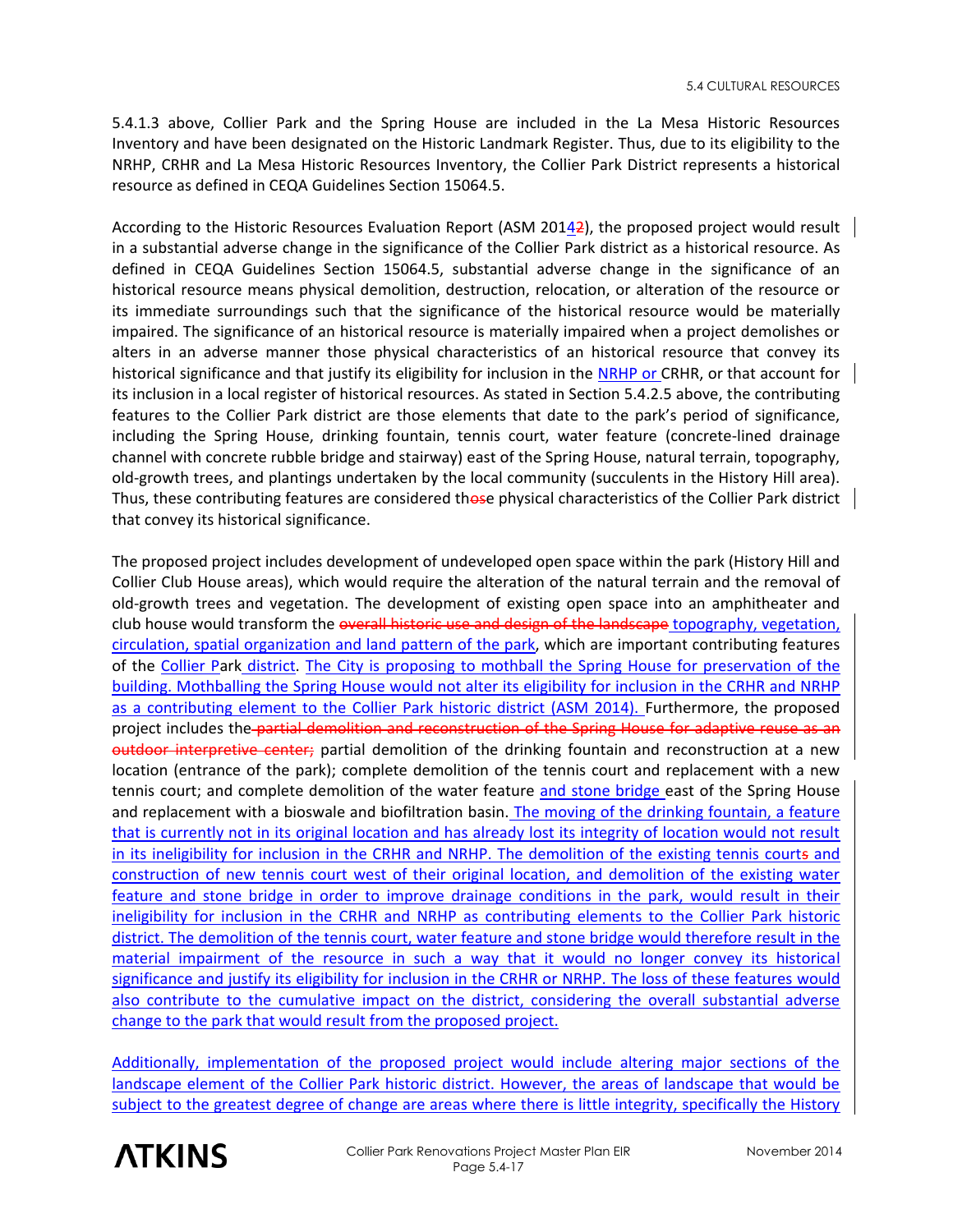5.4.1.3 above, Collier Park and the Spring House are included in the La Mesa Historic Resources Inventory and have been designated on the Historic Landmark Register. Thus, due to its eligibility to the NRHP, CRHR and La Mesa Historic Resources Inventory, the Collier Park District represents a historical resource as defined in CEQA Guidelines Section 15064.5.

According to the Historic Resources Evaluation Report (ASM 20142), the proposed project would result in a substantial adverse change in the significance of the Collier Park district as a historical resource. As defined in CEQA Guidelines Section 15064.5, substantial adverse change in the significance of an historical resource means physical demolition, destruction, relocation, or alteration of the resource or its immediate surroundings such that the significance of the historical resource would be materially impaired. The significance of an historical resource is materially impaired when a project demolishes or alters in an adverse manner those physical characteristics of an historical resource that convey its historical significance and that justify its eligibility for inclusion in the NRHP or CRHR, or that account for its inclusion in a local register of historical resources. As stated in Section 5.4.2.5 above, the contributing features to the Collier Park district are those elements that date to the park's period of significance, including the Spring House, drinking fountain, tennis court, water feature (concrete-lined drainage channel with concrete rubble bridge and stairway) east of the Spring House, natural terrain, topography, old-growth trees, and plantings undertaken by the local community (succulents in the History Hill area). Thus, these contributing features are considered those physical characteristics of the Collier Park district that convey its historical significance.

The proposed project includes development of undeveloped open space within the park (History Hill and Collier Club House areas), which would require the alteration of the natural terrain and the removal of old-growth trees and vegetation. The development of existing open space into an amphitheater and club house would transform the overall historic use and design of the landscape topography, vegetation, circulation, spatial organization and land pattern of the park, which are important contributing features of the Collier Park district. The City is proposing to mothball the Spring House for preservation of the building. Mothballing the Spring House would not alter its eligibility for inclusion in the CRHR and NRHP as a contributing element to the Collier Park historic district (ASM 2014). Furthermore, the proposed project includes the partial demolition and reconstruction of the Spring House for adaptive reuse as an outdoor interpretive center; partial demolition of the drinking fountain and reconstruction at a new location (entrance of the park); complete demolition of the tennis court and replacement with a new tennis court; and complete demolition of the water feature and stone bridge east of the Spring House and replacement with a bioswale and biofiltration basin. The moving of the drinking fountain, a feature that is currently not in its original location and has already lost its integrity of location would not result in its ineligibility for inclusion in the CRHR and NRHP. The demolition of the existing tennis courts and construction of new tennis court west of their original location, and demolition of the existing water feature and stone bridge in order to improve drainage conditions in the park, would result in their ineligibility for inclusion in the CRHR and NRHP as contributing elements to the Collier Park historic district. The demolition of the tennis court, water feature and stone bridge would therefore result in the material impairment of the resource in such a way that it would no longer convey its historical significance and justify its eligibility for inclusion in the CRHR or NRHP. The loss of these features would also contribute to the cumulative impact on the district, considering the overall substantial adverse change to the park that would result from the proposed project.

Additionally, implementation of the proposed project would include altering major sections of the landscape element of the Collier Park historic district. However, the areas of landscape that would be subject to the greatest degree of change are areas where there is little integrity, specifically the History

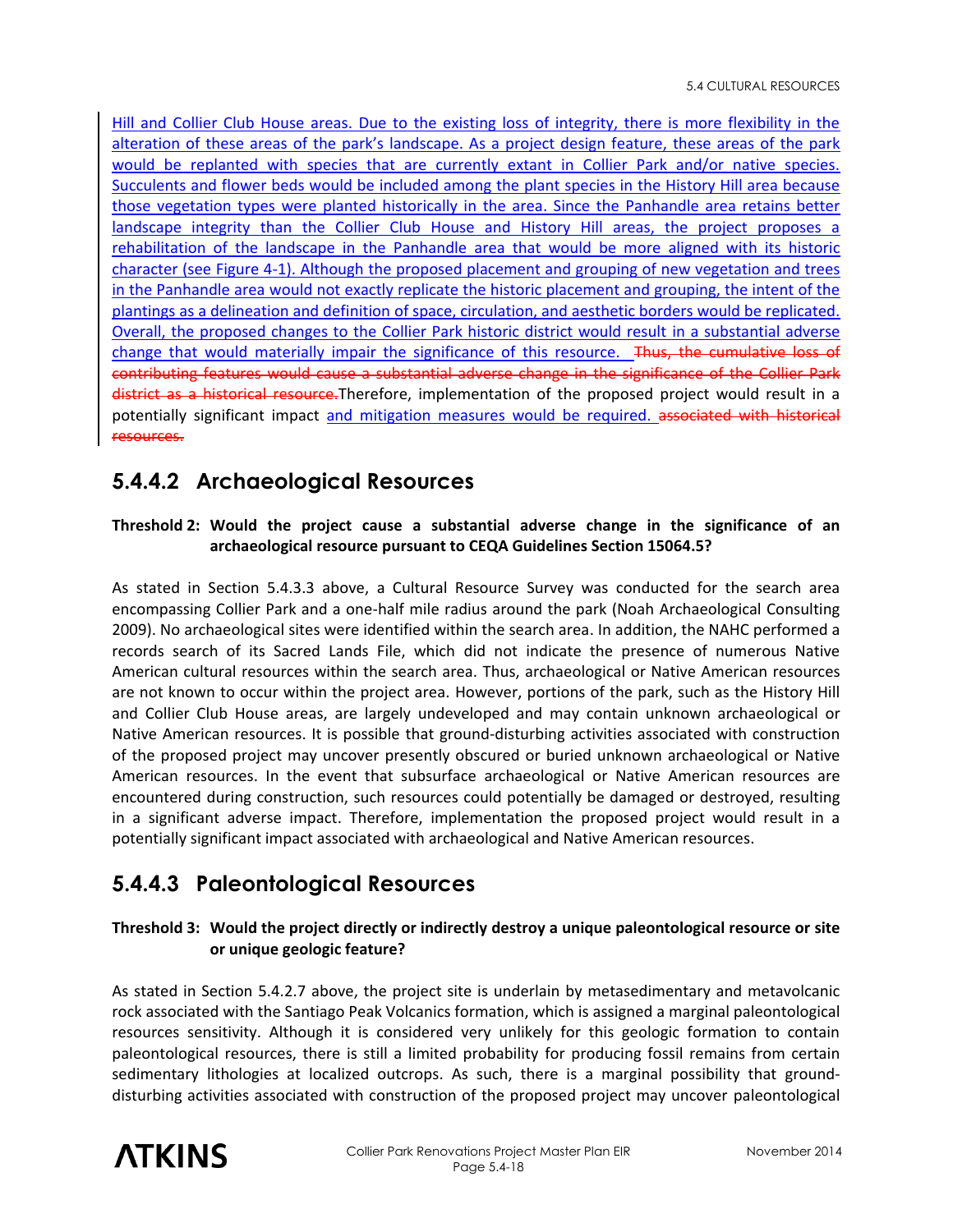Hill and Collier Club House areas. Due to the existing loss of integrity, there is more flexibility in the alteration of these areas of the park's landscape. As a project design feature, these areas of the park would be replanted with species that are currently extant in Collier Park and/or native species. Succulents and flower beds would be included among the plant species in the History Hill area because those vegetation types were planted historically in the area. Since the Panhandle area retains better landscape integrity than the Collier Club House and History Hill areas, the project proposes a rehabilitation of the landscape in the Panhandle area that would be more aligned with its historic character (see Figure 4-1). Although the proposed placement and grouping of new vegetation and trees in the Panhandle area would not exactly replicate the historic placement and grouping, the intent of the plantings as a delineation and definition of space, circulation, and aesthetic borders would be replicated. Overall, the proposed changes to the Collier Park historic district would result in a substantial adverse change that would materially impair the significance of this resource. Thus, the cumulative loss of contributing features would cause a substantial adverse change in the significance of the Collier Park district as a historical resource. Therefore, implementation of the proposed project would result in a potentially significant impact and mitigation measures would be required. associated with historical resources.

# **5.4.4.2 Archaeological Resources**

#### **Threshold 2: Would the project cause a substantial adverse change in the significance of an archaeological resource pursuant to CEQA Guidelines Section 15064.5?**

As stated in Section 5.4.3.3 above, a Cultural Resource Survey was conducted for the search area encompassing Collier Park and a one-half mile radius around the park (Noah Archaeological Consulting 2009). No archaeological sites were identified within the search area. In addition, the NAHC performed a records search of its Sacred Lands File, which did not indicate the presence of numerous Native American cultural resources within the search area. Thus, archaeological or Native American resources are not known to occur within the project area. However, portions of the park, such as the History Hill and Collier Club House areas, are largely undeveloped and may contain unknown archaeological or Native American resources. It is possible that ground-disturbing activities associated with construction of the proposed project may uncover presently obscured or buried unknown archaeological or Native American resources. In the event that subsurface archaeological or Native American resources are encountered during construction, such resources could potentially be damaged or destroyed, resulting in a significant adverse impact. Therefore, implementation the proposed project would result in a potentially significant impact associated with archaeological and Native American resources.

# **5.4.4.3 Paleontological Resources**

#### **Threshold 3: Would the project directly or indirectly destroy a unique paleontological resource or site or unique geologic feature?**

As stated in Section 5.4.2.7 above, the project site is underlain by metasedimentary and metavolcanic rock associated with the Santiago Peak Volcanics formation, which is assigned a marginal paleontological resources sensitivity. Although it is considered very unlikely for this geologic formation to contain paleontological resources, there is still a limited probability for producing fossil remains from certain sedimentary lithologies at localized outcrops. As such, there is a marginal possibility that grounddisturbing activities associated with construction of the proposed project may uncover paleontological

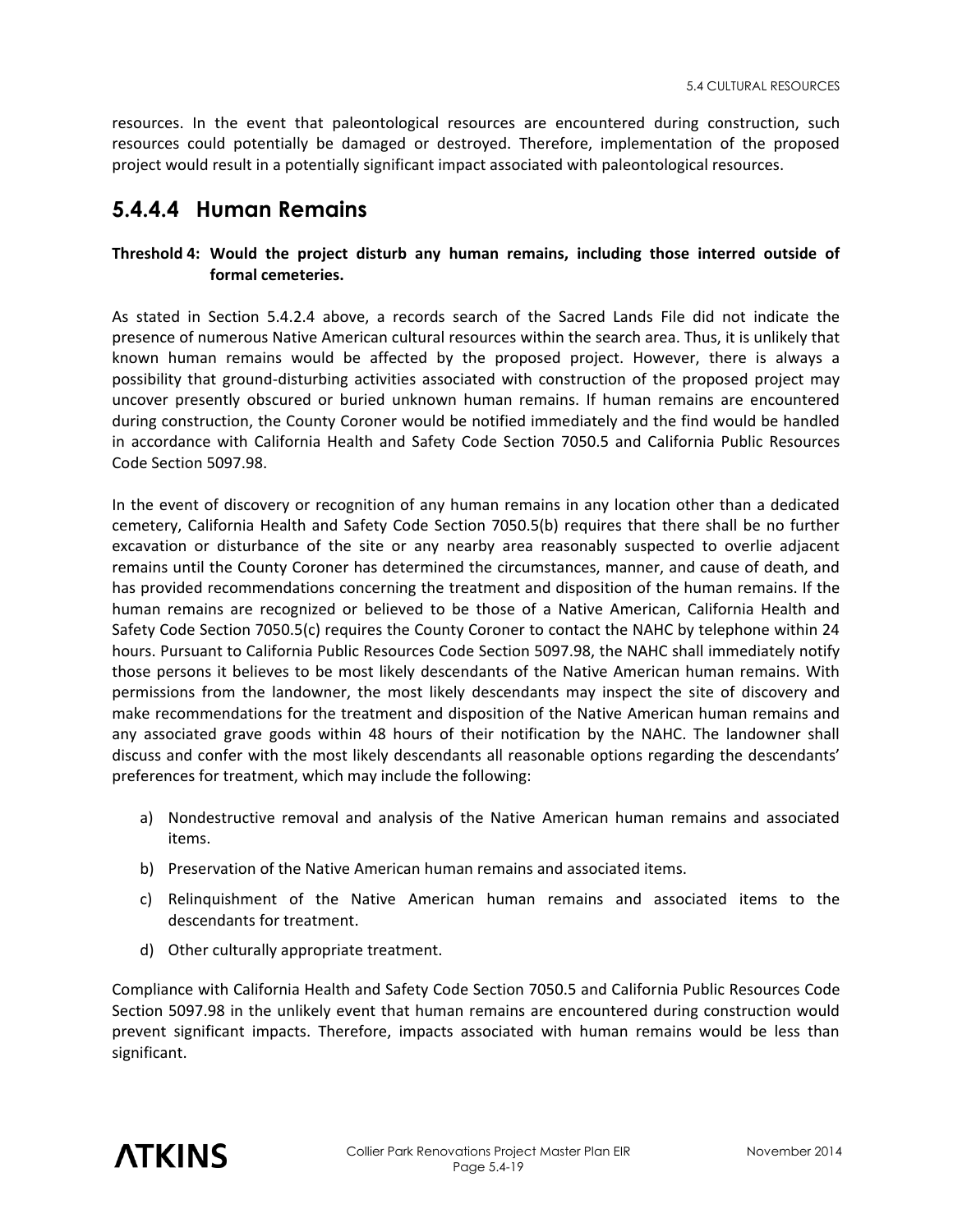resources. In the event that paleontological resources are encountered during construction, such resources could potentially be damaged or destroyed. Therefore, implementation of the proposed project would result in a potentially significant impact associated with paleontological resources.

#### **5.4.4.4 Human Remains**

#### **Threshold 4: Would the project disturb any human remains, including those interred outside of formal cemeteries.**

As stated in Section 5.4.2.4 above, a records search of the Sacred Lands File did not indicate the presence of numerous Native American cultural resources within the search area. Thus, it is unlikely that known human remains would be affected by the proposed project. However, there is always a possibility that ground-disturbing activities associated with construction of the proposed project may uncover presently obscured or buried unknown human remains. If human remains are encountered during construction, the County Coroner would be notified immediately and the find would be handled in accordance with California Health and Safety Code Section 7050.5 and California Public Resources Code Section 5097.98.

In the event of discovery or recognition of any human remains in any location other than a dedicated cemetery, California Health and Safety Code Section 7050.5(b) requires that there shall be no further excavation or disturbance of the site or any nearby area reasonably suspected to overlie adjacent remains until the County Coroner has determined the circumstances, manner, and cause of death, and has provided recommendations concerning the treatment and disposition of the human remains. If the human remains are recognized or believed to be those of a Native American, California Health and Safety Code Section 7050.5(c) requires the County Coroner to contact the NAHC by telephone within 24 hours. Pursuant to California Public Resources Code Section 5097.98, the NAHC shall immediately notify those persons it believes to be most likely descendants of the Native American human remains. With permissions from the landowner, the most likely descendants may inspect the site of discovery and make recommendations for the treatment and disposition of the Native American human remains and any associated grave goods within 48 hours of their notification by the NAHC. The landowner shall discuss and confer with the most likely descendants all reasonable options regarding the descendants' preferences for treatment, which may include the following:

- a) Nondestructive removal and analysis of the Native American human remains and associated items.
- b) Preservation of the Native American human remains and associated items.
- c) Relinquishment of the Native American human remains and associated items to the descendants for treatment.
- d) Other culturally appropriate treatment.

Compliance with California Health and Safety Code Section 7050.5 and California Public Resources Code Section 5097.98 in the unlikely event that human remains are encountered during construction would prevent significant impacts. Therefore, impacts associated with human remains would be less than significant.

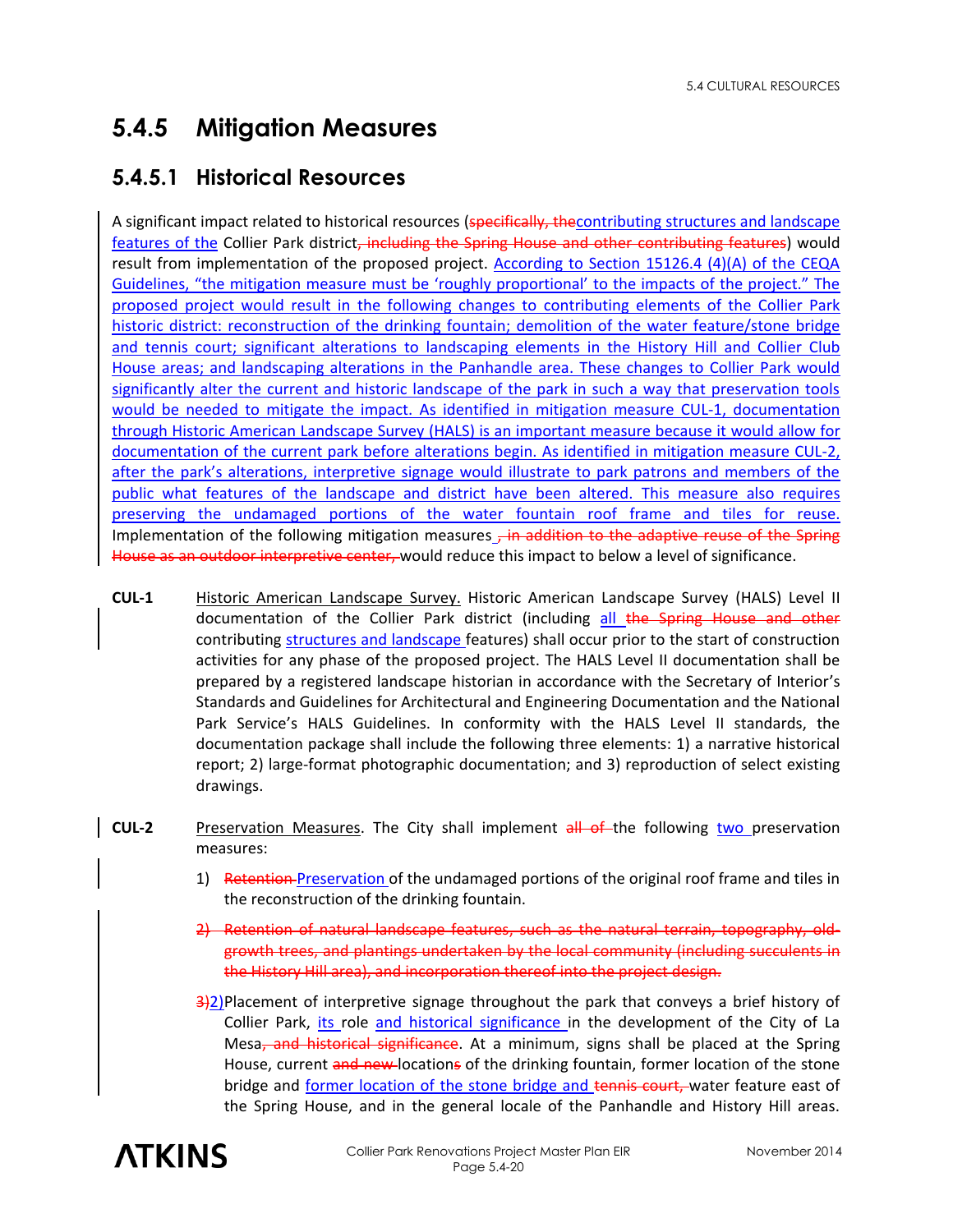# **5.4.5 Mitigation Measures**

## **5.4.5.1 Historical Resources**

A significant impact related to historical resources (specifically, the contributing structures and landscape features of the Collier Park district, including the Spring House and other contributing features) would result from implementation of the proposed project. According to Section 15126.4 (4)(A) of the CEQA Guidelines, "the mitigation measure must be 'roughly proportional' to the impacts of the project." The proposed project would result in the following changes to contributing elements of the Collier Park historic district: reconstruction of the drinking fountain; demolition of the water feature/stone bridge and tennis court; significant alterations to landscaping elements in the History Hill and Collier Club House areas; and landscaping alterations in the Panhandle area. These changes to Collier Park would significantly alter the current and historic landscape of the park in such a way that preservation tools would be needed to mitigate the impact. As identified in mitigation measure CUL-1, documentation through Historic American Landscape Survey (HALS) is an important measure because it would allow for documentation of the current park before alterations begin. As identified in mitigation measure CUL-2, after the park's alterations, interpretive signage would illustrate to park patrons and members of the public what features of the landscape and district have been altered. This measure also requires preserving the undamaged portions of the water fountain roof frame and tiles for reuse. Implementation of the following mitigation measures  $\tau$  in addition to the adaptive reuse of the Spring House as an outdoor interpretive center, would reduce this impact to below a level of significance.

- **CUL-1** Historic American Landscape Survey. Historic American Landscape Survey (HALS) Level II documentation of the Collier Park district (including all the Spring House and other contributing structures and landscape features) shall occur prior to the start of construction activities for any phase of the proposed project. The HALS Level II documentation shall be prepared by a registered landscape historian in accordance with the Secretary of Interior's Standards and Guidelines for Architectural and Engineering Documentation and the National Park Service's HALS Guidelines. In conformity with the HALS Level II standards, the documentation package shall include the following three elements: 1) a narrative historical report; 2) large-format photographic documentation; and 3) reproduction of select existing drawings.
- **CUL-2** Preservation Measures. The City shall implement all of the following two preservation measures:
	- 1) Retention-Preservation of the undamaged portions of the original roof frame and tiles in the reconstruction of the drinking fountain.
	- 2) Retention of natural landscape features, such as the natural terrain, topography, oldgrowth trees, and plantings undertaken by the local community (including succulents in the History Hill area), and incorporation thereof into the project design.
	- $\frac{3}{2}$ )Placement of interpretive signage throughout the park that conveys a brief history of Collier Park, its role and historical significance in the development of the City of La Mesa, and historical significance. At a minimum, signs shall be placed at the Spring House, current and new locations of the drinking fountain, former location of the stone bridge and former location of the stone bridge and tennis court, water feature east of the Spring House, and in the general locale of the Panhandle and History Hill areas.

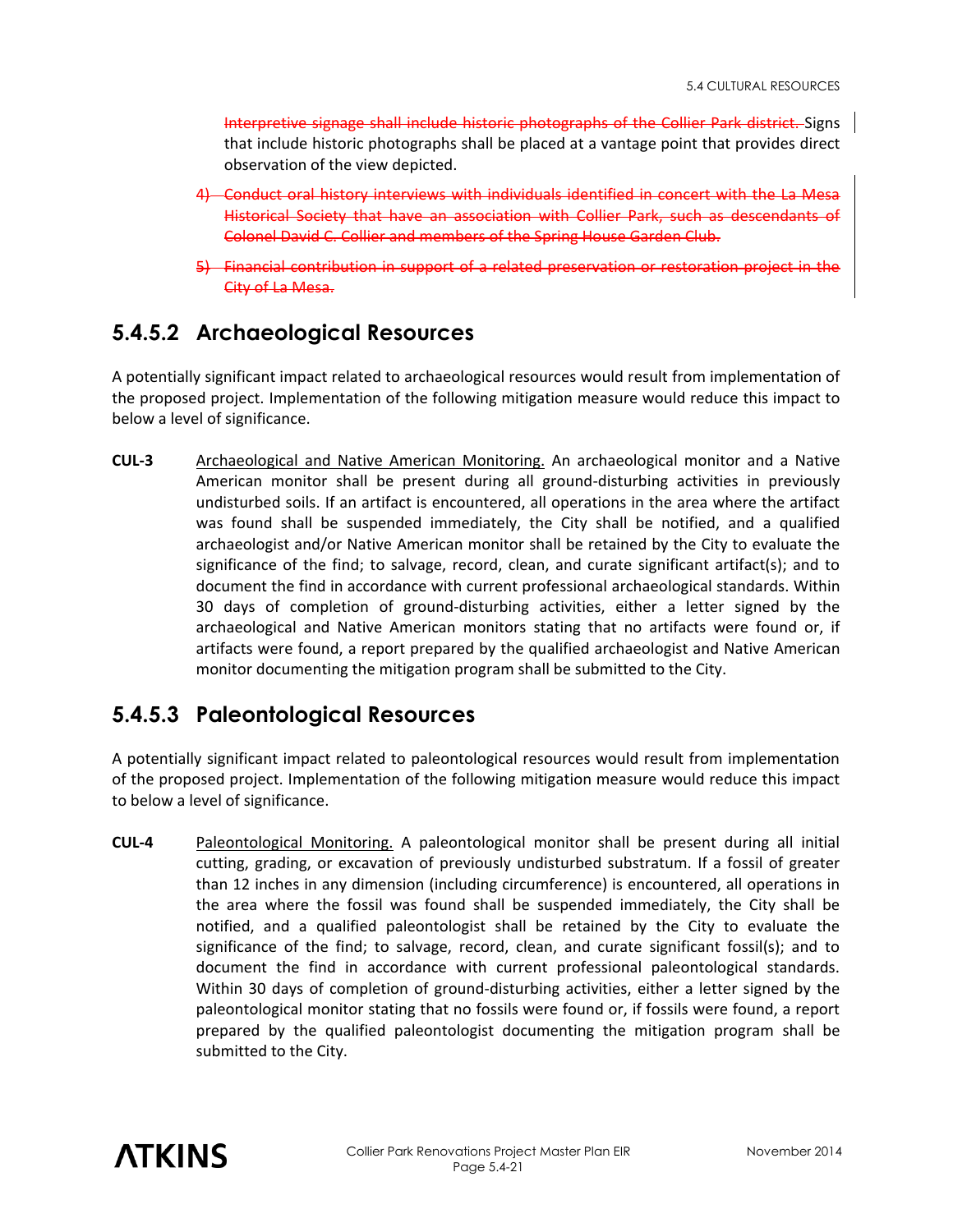Interpretive signage shall include historic photographs of the Collier Park district. Signs that include historic photographs shall be placed at a vantage point that provides direct observation of the view depicted.

- 4) Conduct oral history interviews with individuals identified in concert with the La Mesa Historical Society that have an association with Collier Park, such as descendants of Colonel David C. Collier and members of the Spring House Garden Club.
- 5) Financial contribution in support of a related preservation or restoration City of La Mesa.

### **5.4.5.2 Archaeological Resources**

A potentially significant impact related to archaeological resources would result from implementation of the proposed project. Implementation of the following mitigation measure would reduce this impact to below a level of significance.

**CUL-3** Archaeological and Native American Monitoring. An archaeological monitor and a Native American monitor shall be present during all ground-disturbing activities in previously undisturbed soils. If an artifact is encountered, all operations in the area where the artifact was found shall be suspended immediately, the City shall be notified, and a qualified archaeologist and/or Native American monitor shall be retained by the City to evaluate the significance of the find; to salvage, record, clean, and curate significant artifact(s); and to document the find in accordance with current professional archaeological standards. Within 30 days of completion of ground-disturbing activities, either a letter signed by the archaeological and Native American monitors stating that no artifacts were found or, if artifacts were found, a report prepared by the qualified archaeologist and Native American monitor documenting the mitigation program shall be submitted to the City.

### **5.4.5.3 Paleontological Resources**

A potentially significant impact related to paleontological resources would result from implementation of the proposed project. Implementation of the following mitigation measure would reduce this impact to below a level of significance.

**CUL-4** Paleontological Monitoring. A paleontological monitor shall be present during all initial cutting, grading, or excavation of previously undisturbed substratum. If a fossil of greater than 12 inches in any dimension (including circumference) is encountered, all operations in the area where the fossil was found shall be suspended immediately, the City shall be notified, and a qualified paleontologist shall be retained by the City to evaluate the significance of the find; to salvage, record, clean, and curate significant fossil(s); and to document the find in accordance with current professional paleontological standards. Within 30 days of completion of ground-disturbing activities, either a letter signed by the paleontological monitor stating that no fossils were found or, if fossils were found, a report prepared by the qualified paleontologist documenting the mitigation program shall be submitted to the City.